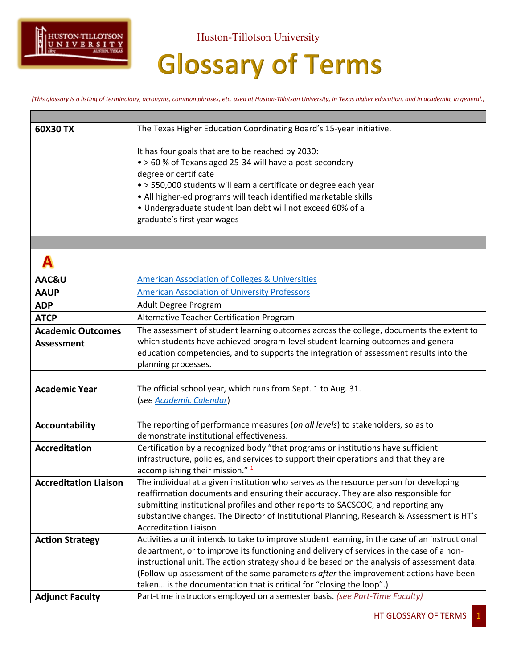

Huston-Tillotson University

## **Glossary of Terms**

*(This glossary is a listing of terminology, acronyms, common phrases, etc. used at Huston-Tillotson University, in Texas higher education, and in academia, in general.)*

| 60X30 TX                     | The Texas Higher Education Coordinating Board's 15-year initiative.                            |
|------------------------------|------------------------------------------------------------------------------------------------|
|                              |                                                                                                |
|                              | It has four goals that are to be reached by 2030:                                              |
|                              | • > 60 % of Texans aged 25-34 will have a post-secondary                                       |
|                              | degree or certificate                                                                          |
|                              | · > 550,000 students will earn a certificate or degree each year                               |
|                              | • All higher-ed programs will teach identified marketable skills                               |
|                              | · Undergraduate student loan debt will not exceed 60% of a                                     |
|                              | graduate's first year wages                                                                    |
|                              |                                                                                                |
|                              |                                                                                                |
| AAC&U                        | <b>American Association of Colleges &amp; Universities</b>                                     |
| <b>AAUP</b>                  | <b>American Association of University Professors</b>                                           |
| <b>ADP</b>                   | Adult Degree Program                                                                           |
| <b>ATCP</b>                  | Alternative Teacher Certification Program                                                      |
| <b>Academic Outcomes</b>     | The assessment of student learning outcomes across the college, documents the extent to        |
| <b>Assessment</b>            | which students have achieved program-level student learning outcomes and general               |
|                              | education competencies, and to supports the integration of assessment results into the         |
|                              | planning processes.                                                                            |
|                              |                                                                                                |
| <b>Academic Year</b>         | The official school year, which runs from Sept. 1 to Aug. 31.                                  |
|                              | (see Academic Calendar)                                                                        |
|                              |                                                                                                |
| <b>Accountability</b>        | The reporting of performance measures (on all levels) to stakeholders, so as to                |
|                              | demonstrate institutional effectiveness.                                                       |
| <b>Accreditation</b>         | Certification by a recognized body "that programs or institutions have sufficient              |
|                              | infrastructure, policies, and services to support their operations and that they are           |
|                              | accomplishing their mission." <sup>1</sup>                                                     |
| <b>Accreditation Liaison</b> | The individual at a given institution who serves as the resource person for developing         |
|                              | reaffirmation documents and ensuring their accuracy. They are also responsible for             |
|                              | submitting institutional profiles and other reports to SACSCOC, and reporting any              |
|                              | substantive changes. The Director of Institutional Planning, Research & Assessment is HT's     |
|                              | <b>Accreditation Liaison</b>                                                                   |
| <b>Action Strategy</b>       | Activities a unit intends to take to improve student learning, in the case of an instructional |
|                              | department, or to improve its functioning and delivery of services in the case of a non-       |
|                              | instructional unit. The action strategy should be based on the analysis of assessment data.    |
|                              | (Follow-up assessment of the same parameters after the improvement actions have been           |
|                              | taken is the documentation that is critical for "closing the loop".)                           |
| <b>Adjunct Faculty</b>       | Part-time instructors employed on a semester basis. (see Part-Time Faculty)                    |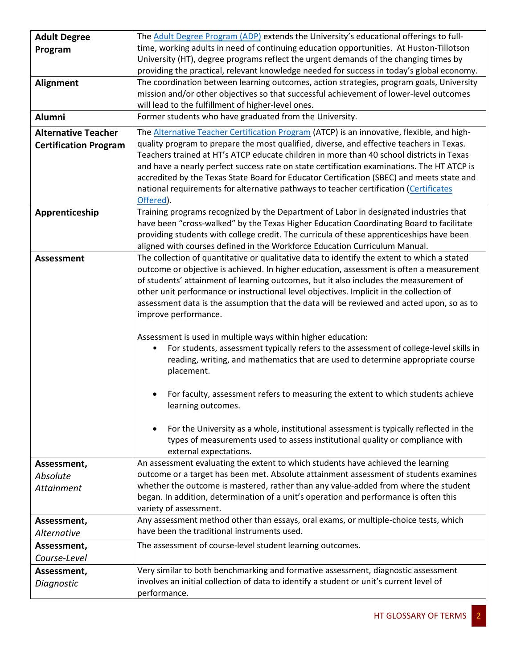| <b>Adult Degree</b>          | The Adult Degree Program (ADP) extends the University's educational offerings to full-                                                                                           |
|------------------------------|----------------------------------------------------------------------------------------------------------------------------------------------------------------------------------|
| Program                      | time, working adults in need of continuing education opportunities. At Huston-Tillotson                                                                                          |
|                              | University (HT), degree programs reflect the urgent demands of the changing times by                                                                                             |
|                              | providing the practical, relevant knowledge needed for success in today's global economy.                                                                                        |
| <b>Alignment</b>             | The coordination between learning outcomes, action strategies, program goals, University                                                                                         |
|                              | mission and/or other objectives so that successful achievement of lower-level outcomes                                                                                           |
|                              | will lead to the fulfillment of higher-level ones.                                                                                                                               |
| <b>Alumni</b>                | Former students who have graduated from the University.                                                                                                                          |
| <b>Alternative Teacher</b>   | The <b>Alternative Teacher Certification Program</b> (ATCP) is an innovative, flexible, and high-                                                                                |
| <b>Certification Program</b> | quality program to prepare the most qualified, diverse, and effective teachers in Texas.                                                                                         |
|                              | Teachers trained at HT's ATCP educate children in more than 40 school districts in Texas                                                                                         |
|                              | and have a nearly perfect success rate on state certification examinations. The HT ATCP is                                                                                       |
|                              | accredited by the Texas State Board for Educator Certification (SBEC) and meets state and                                                                                        |
|                              | national requirements for alternative pathways to teacher certification (Certificates                                                                                            |
|                              | Offered).                                                                                                                                                                        |
| Apprenticeship               | Training programs recognized by the Department of Labor in designated industries that<br>have been "cross-walked" by the Texas Higher Education Coordinating Board to facilitate |
|                              | providing students with college credit. The curricula of these apprenticeships have been                                                                                         |
|                              | aligned with courses defined in the Workforce Education Curriculum Manual.                                                                                                       |
| <b>Assessment</b>            | The collection of quantitative or qualitative data to identify the extent to which a stated                                                                                      |
|                              | outcome or objective is achieved. In higher education, assessment is often a measurement                                                                                         |
|                              | of students' attainment of learning outcomes, but it also includes the measurement of                                                                                            |
|                              | other unit performance or instructional level objectives. Implicit in the collection of                                                                                          |
|                              | assessment data is the assumption that the data will be reviewed and acted upon, so as to                                                                                        |
|                              | improve performance.                                                                                                                                                             |
|                              |                                                                                                                                                                                  |
|                              | Assessment is used in multiple ways within higher education:                                                                                                                     |
|                              | For students, assessment typically refers to the assessment of college-level skills in<br>$\bullet$                                                                              |
|                              | reading, writing, and mathematics that are used to determine appropriate course<br>placement.                                                                                    |
|                              |                                                                                                                                                                                  |
|                              | For faculty, assessment refers to measuring the extent to which students achieve                                                                                                 |
|                              | learning outcomes.                                                                                                                                                               |
|                              |                                                                                                                                                                                  |
|                              | For the University as a whole, institutional assessment is typically reflected in the<br>٠                                                                                       |
|                              | types of measurements used to assess institutional quality or compliance with                                                                                                    |
|                              | external expectations.                                                                                                                                                           |
| Assessment,                  | An assessment evaluating the extent to which students have achieved the learning                                                                                                 |
| Absolute                     | outcome or a target has been met. Absolute attainment assessment of students examines                                                                                            |
| Attainment                   | whether the outcome is mastered, rather than any value-added from where the student                                                                                              |
|                              | began. In addition, determination of a unit's operation and performance is often this                                                                                            |
|                              | variety of assessment.                                                                                                                                                           |
| Assessment,                  | Any assessment method other than essays, oral exams, or multiple-choice tests, which<br>have been the traditional instruments used.                                              |
| <b>Alternative</b>           |                                                                                                                                                                                  |
| Assessment,                  | The assessment of course-level student learning outcomes.                                                                                                                        |
| Course-Level                 |                                                                                                                                                                                  |
| Assessment,                  | Very similar to both benchmarking and formative assessment, diagnostic assessment                                                                                                |
| Diagnostic                   | involves an initial collection of data to identify a student or unit's current level of                                                                                          |
|                              | performance.                                                                                                                                                                     |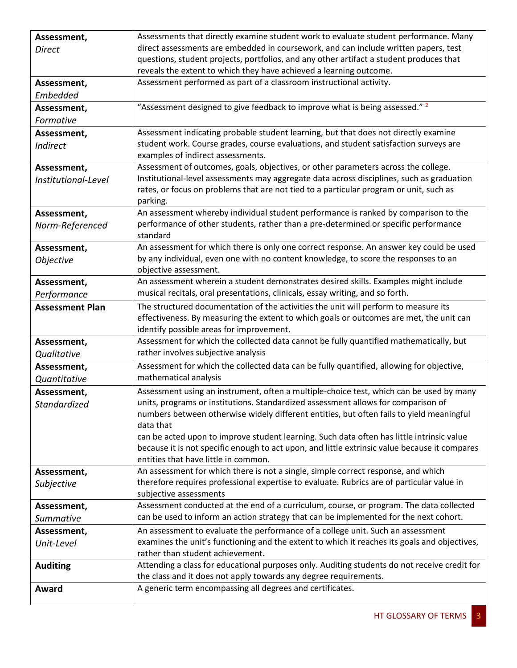| Assessment,            | Assessments that directly examine student work to evaluate student performance. Many                                                                                           |
|------------------------|--------------------------------------------------------------------------------------------------------------------------------------------------------------------------------|
| <b>Direct</b>          | direct assessments are embedded in coursework, and can include written papers, test                                                                                            |
|                        | questions, student projects, portfolios, and any other artifact a student produces that                                                                                        |
|                        | reveals the extent to which they have achieved a learning outcome.                                                                                                             |
| Assessment,            | Assessment performed as part of a classroom instructional activity.                                                                                                            |
| Embedded               |                                                                                                                                                                                |
| Assessment,            | "Assessment designed to give feedback to improve what is being assessed." 2                                                                                                    |
| Formative              |                                                                                                                                                                                |
| Assessment,            | Assessment indicating probable student learning, but that does not directly examine                                                                                            |
| <b>Indirect</b>        | student work. Course grades, course evaluations, and student satisfaction surveys are                                                                                          |
|                        | examples of indirect assessments.                                                                                                                                              |
| Assessment,            | Assessment of outcomes, goals, objectives, or other parameters across the college.                                                                                             |
| Institutional-Level    | Institutional-level assessments may aggregate data across disciplines, such as graduation                                                                                      |
|                        | rates, or focus on problems that are not tied to a particular program or unit, such as                                                                                         |
|                        | parking.                                                                                                                                                                       |
| Assessment,            | An assessment whereby individual student performance is ranked by comparison to the                                                                                            |
| Norm-Referenced        | performance of other students, rather than a pre-determined or specific performance<br>standard                                                                                |
|                        | An assessment for which there is only one correct response. An answer key could be used                                                                                        |
| Assessment,            | by any individual, even one with no content knowledge, to score the responses to an                                                                                            |
| Objective              | objective assessment.                                                                                                                                                          |
| Assessment,            | An assessment wherein a student demonstrates desired skills. Examples might include                                                                                            |
| Performance            | musical recitals, oral presentations, clinicals, essay writing, and so forth.                                                                                                  |
| <b>Assessment Plan</b> | The structured documentation of the activities the unit will perform to measure its                                                                                            |
|                        | effectiveness. By measuring the extent to which goals or outcomes are met, the unit can                                                                                        |
|                        | identify possible areas for improvement.                                                                                                                                       |
| Assessment,            | Assessment for which the collected data cannot be fully quantified mathematically, but                                                                                         |
| Qualitative            | rather involves subjective analysis                                                                                                                                            |
| Assessment,            | Assessment for which the collected data can be fully quantified, allowing for objective,                                                                                       |
| Quantitative           | mathematical analysis                                                                                                                                                          |
| Assessment,            | Assessment using an instrument, often a multiple-choice test, which can be used by many                                                                                        |
| Standardized           | units, programs or institutions. Standardized assessment allows for comparison of                                                                                              |
|                        | numbers between otherwise widely different entities, but often fails to yield meaningful                                                                                       |
|                        | data that                                                                                                                                                                      |
|                        | can be acted upon to improve student learning. Such data often has little intrinsic value                                                                                      |
|                        | because it is not specific enough to act upon, and little extrinsic value because it compares                                                                                  |
|                        | entities that have little in common.                                                                                                                                           |
| Assessment,            | An assessment for which there is not a single, simple correct response, and which<br>therefore requires professional expertise to evaluate. Rubrics are of particular value in |
| Subjective             | subjective assessments                                                                                                                                                         |
| Assessment,            | Assessment conducted at the end of a curriculum, course, or program. The data collected                                                                                        |
| Summative              | can be used to inform an action strategy that can be implemented for the next cohort.                                                                                          |
| Assessment,            | An assessment to evaluate the performance of a college unit. Such an assessment                                                                                                |
|                        | examines the unit's functioning and the extent to which it reaches its goals and objectives,                                                                                   |
| Unit-Level             | rather than student achievement.                                                                                                                                               |
| <b>Auditing</b>        | Attending a class for educational purposes only. Auditing students do not receive credit for                                                                                   |
|                        | the class and it does not apply towards any degree requirements.                                                                                                               |
| Award                  | A generic term encompassing all degrees and certificates.                                                                                                                      |
|                        |                                                                                                                                                                                |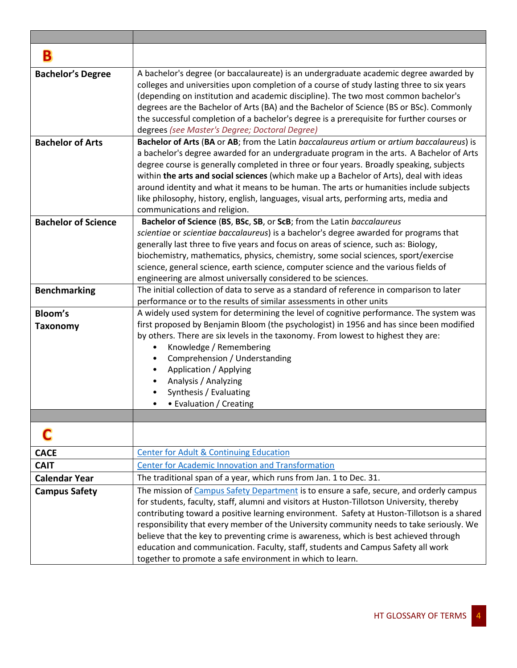| в                          |                                                                                                                                                                                                                                                                                                                                                                                                                                                                                                                                                                                                                           |
|----------------------------|---------------------------------------------------------------------------------------------------------------------------------------------------------------------------------------------------------------------------------------------------------------------------------------------------------------------------------------------------------------------------------------------------------------------------------------------------------------------------------------------------------------------------------------------------------------------------------------------------------------------------|
| <b>Bachelor's Degree</b>   | A bachelor's degree (or baccalaureate) is an undergraduate academic degree awarded by<br>colleges and universities upon completion of a course of study lasting three to six years<br>(depending on institution and academic discipline). The two most common bachelor's<br>degrees are the Bachelor of Arts (BA) and the Bachelor of Science (BS or BSc). Commonly<br>the successful completion of a bachelor's degree is a prerequisite for further courses or<br>degrees (see Master's Degree; Doctoral Degree)                                                                                                        |
| <b>Bachelor of Arts</b>    | Bachelor of Arts (BA or AB; from the Latin baccalaureus artium or artium baccalaureus) is<br>a bachelor's degree awarded for an undergraduate program in the arts. A Bachelor of Arts<br>degree course is generally completed in three or four years. Broadly speaking, subjects<br>within the arts and social sciences (which make up a Bachelor of Arts), deal with ideas<br>around identity and what it means to be human. The arts or humanities include subjects<br>like philosophy, history, english, languages, visual arts, performing arts, media and<br>communications and religion.                            |
| <b>Bachelor of Science</b> | Bachelor of Science (BS, BSc, SB, or ScB; from the Latin baccalaureus<br>scientiae or scientiae baccalaureus) is a bachelor's degree awarded for programs that<br>generally last three to five years and focus on areas of science, such as: Biology,<br>biochemistry, mathematics, physics, chemistry, some social sciences, sport/exercise<br>science, general science, earth science, computer science and the various fields of<br>engineering are almost universally considered to be sciences.                                                                                                                      |
| <b>Benchmarking</b>        | The initial collection of data to serve as a standard of reference in comparison to later<br>performance or to the results of similar assessments in other units                                                                                                                                                                                                                                                                                                                                                                                                                                                          |
| Bloom's<br><b>Taxonomy</b> | A widely used system for determining the level of cognitive performance. The system was<br>first proposed by Benjamin Bloom (the psychologist) in 1956 and has since been modified<br>by others. There are six levels in the taxonomy. From lowest to highest they are:<br>Knowledge / Remembering<br>$\bullet$<br>Comprehension / Understanding<br>Application / Applying<br>Analysis / Analyzing<br>Synthesis / Evaluating<br>• Evaluation / Creating                                                                                                                                                                   |
|                            |                                                                                                                                                                                                                                                                                                                                                                                                                                                                                                                                                                                                                           |
| <b>CACE</b>                | <b>Center for Adult &amp; Continuing Education</b>                                                                                                                                                                                                                                                                                                                                                                                                                                                                                                                                                                        |
| <b>CAIT</b>                | <b>Center for Academic Innovation and Transformation</b>                                                                                                                                                                                                                                                                                                                                                                                                                                                                                                                                                                  |
| <b>Calendar Year</b>       | The traditional span of a year, which runs from Jan. 1 to Dec. 31.                                                                                                                                                                                                                                                                                                                                                                                                                                                                                                                                                        |
| <b>Campus Safety</b>       | The mission of Campus Safety Department is to ensure a safe, secure, and orderly campus<br>for students, faculty, staff, alumni and visitors at Huston-Tillotson University, thereby<br>contributing toward a positive learning environment. Safety at Huston-Tillotson is a shared<br>responsibility that every member of the University community needs to take seriously. We<br>believe that the key to preventing crime is awareness, which is best achieved through<br>education and communication. Faculty, staff, students and Campus Safety all work<br>together to promote a safe environment in which to learn. |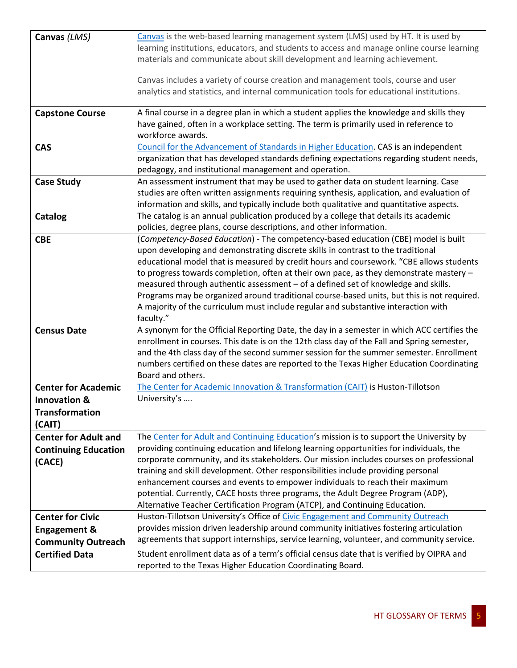| Canvas (LMS)                | Canvas is the web-based learning management system (LMS) used by HT. It is used by                                                                                                 |
|-----------------------------|------------------------------------------------------------------------------------------------------------------------------------------------------------------------------------|
|                             | learning institutions, educators, and students to access and manage online course learning<br>materials and communicate about skill development and learning achievement.          |
|                             |                                                                                                                                                                                    |
|                             | Canvas includes a variety of course creation and management tools, course and user                                                                                                 |
|                             | analytics and statistics, and internal communication tools for educational institutions.                                                                                           |
|                             |                                                                                                                                                                                    |
| <b>Capstone Course</b>      | A final course in a degree plan in which a student applies the knowledge and skills they<br>have gained, often in a workplace setting. The term is primarily used in reference to  |
|                             | workforce awards.                                                                                                                                                                  |
| <b>CAS</b>                  | Council for the Advancement of Standards in Higher Education. CAS is an independent                                                                                                |
|                             | organization that has developed standards defining expectations regarding student needs,                                                                                           |
|                             | pedagogy, and institutional management and operation.                                                                                                                              |
| <b>Case Study</b>           | An assessment instrument that may be used to gather data on student learning. Case                                                                                                 |
|                             | studies are often written assignments requiring synthesis, application, and evaluation of                                                                                          |
|                             | information and skills, and typically include both qualitative and quantitative aspects.                                                                                           |
| Catalog                     | The catalog is an annual publication produced by a college that details its academic                                                                                               |
|                             | policies, degree plans, course descriptions, and other information.                                                                                                                |
| <b>CBE</b>                  | (Competency-Based Education) - The competency-based education (CBE) model is built                                                                                                 |
|                             | upon developing and demonstrating discrete skills in contrast to the traditional                                                                                                   |
|                             | educational model that is measured by credit hours and coursework. "CBE allows students                                                                                            |
|                             | to progress towards completion, often at their own pace, as they demonstrate mastery -                                                                                             |
|                             | measured through authentic assessment - of a defined set of knowledge and skills.                                                                                                  |
|                             | Programs may be organized around traditional course-based units, but this is not required.                                                                                         |
|                             | A majority of the curriculum must include regular and substantive interaction with<br>faculty."                                                                                    |
| <b>Census Date</b>          | A synonym for the Official Reporting Date, the day in a semester in which ACC certifies the                                                                                        |
|                             | enrollment in courses. This date is on the 12th class day of the Fall and Spring semester,                                                                                         |
|                             | and the 4th class day of the second summer session for the summer semester. Enrollment                                                                                             |
|                             | numbers certified on these dates are reported to the Texas Higher Education Coordinating                                                                                           |
|                             | Board and others.                                                                                                                                                                  |
| <b>Center for Academic</b>  | The Center for Academic Innovation & Transformation (CAIT) is Huston-Tillotson                                                                                                     |
| <b>Innovation &amp;</b>     | University's                                                                                                                                                                       |
| <b>Transformation</b>       |                                                                                                                                                                                    |
| (CAIT)                      |                                                                                                                                                                                    |
| <b>Center for Adult and</b> | The Center for Adult and Continuing Education's mission is to support the University by                                                                                            |
| <b>Continuing Education</b> | providing continuing education and lifelong learning opportunities for individuals, the                                                                                            |
| (CACE)                      | corporate community, and its stakeholders. Our mission includes courses on professional                                                                                            |
|                             | training and skill development. Other responsibilities include providing personal                                                                                                  |
|                             | enhancement courses and events to empower individuals to reach their maximum                                                                                                       |
|                             | potential. Currently, CACE hosts three programs, the Adult Degree Program (ADP),                                                                                                   |
|                             | Alternative Teacher Certification Program (ATCP), and Continuing Education.                                                                                                        |
| <b>Center for Civic</b>     | Huston-Tillotson University's Office of Civic Engagement and Community Outreach                                                                                                    |
| <b>Engagement &amp;</b>     | provides mission driven leadership around community initiatives fostering articulation<br>agreements that support internships, service learning, volunteer, and community service. |
| <b>Community Outreach</b>   |                                                                                                                                                                                    |
| <b>Certified Data</b>       | Student enrollment data as of a term's official census date that is verified by OIPRA and                                                                                          |
|                             | reported to the Texas Higher Education Coordinating Board.                                                                                                                         |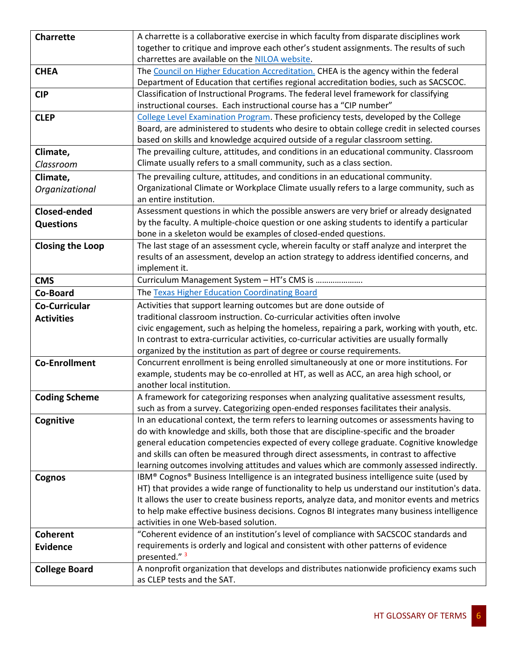| <b>Charrette</b>        | A charrette is a collaborative exercise in which faculty from disparate disciplines work                                                                                      |
|-------------------------|-------------------------------------------------------------------------------------------------------------------------------------------------------------------------------|
|                         | together to critique and improve each other's student assignments. The results of such                                                                                        |
|                         | charrettes are available on the NILOA website.                                                                                                                                |
| <b>CHEA</b>             | The Council on Higher Education Accreditation. CHEA is the agency within the federal                                                                                          |
|                         | Department of Education that certifies regional accreditation bodies, such as SACSCOC.                                                                                        |
| <b>CIP</b>              | Classification of Instructional Programs. The federal level framework for classifying                                                                                         |
|                         | instructional courses. Each instructional course has a "CIP number"                                                                                                           |
| <b>CLEP</b>             | College Level Examination Program. These proficiency tests, developed by the College                                                                                          |
|                         | Board, are administered to students who desire to obtain college credit in selected courses                                                                                   |
|                         | based on skills and knowledge acquired outside of a regular classroom setting.                                                                                                |
| Climate,                | The prevailing culture, attitudes, and conditions in an educational community. Classroom                                                                                      |
| Classroom               | Climate usually refers to a small community, such as a class section.                                                                                                         |
| Climate,                | The prevailing culture, attitudes, and conditions in an educational community.                                                                                                |
| Organizational          | Organizational Climate or Workplace Climate usually refers to a large community, such as                                                                                      |
|                         | an entire institution.                                                                                                                                                        |
| <b>Closed-ended</b>     | Assessment questions in which the possible answers are very brief or already designated                                                                                       |
| <b>Questions</b>        | by the faculty. A multiple-choice question or one asking students to identify a particular                                                                                    |
|                         | bone in a skeleton would be examples of closed-ended questions.                                                                                                               |
| <b>Closing the Loop</b> | The last stage of an assessment cycle, wherein faculty or staff analyze and interpret the                                                                                     |
|                         | results of an assessment, develop an action strategy to address identified concerns, and                                                                                      |
|                         | implement it.                                                                                                                                                                 |
| <b>CMS</b>              | Curriculum Management System - HT's CMS is                                                                                                                                    |
| Co-Board                | The Texas Higher Education Coordinating Board                                                                                                                                 |
| <b>Co-Curricular</b>    | Activities that support learning outcomes but are done outside of                                                                                                             |
| <b>Activities</b>       | traditional classroom instruction. Co-curricular activities often involve                                                                                                     |
|                         | civic engagement, such as helping the homeless, repairing a park, working with youth, etc.                                                                                    |
|                         | In contrast to extra-curricular activities, co-curricular activities are usually formally                                                                                     |
|                         | organized by the institution as part of degree or course requirements.                                                                                                        |
| <b>Co-Enrollment</b>    | Concurrent enrollment is being enrolled simultaneously at one or more institutions. For                                                                                       |
|                         | example, students may be co-enrolled at HT, as well as ACC, an area high school, or<br>another local institution.                                                             |
|                         |                                                                                                                                                                               |
| <b>Coding Scheme</b>    | A framework for categorizing responses when analyzing qualitative assessment results,<br>such as from a survey. Categorizing open-ended responses facilitates their analysis. |
|                         | In an educational context, the term refers to learning outcomes or assessments having to                                                                                      |
| Cognitive               | do with knowledge and skills, both those that are discipline-specific and the broader                                                                                         |
|                         | general education competencies expected of every college graduate. Cognitive knowledge                                                                                        |
|                         | and skills can often be measured through direct assessments, in contrast to affective                                                                                         |
|                         | learning outcomes involving attitudes and values which are commonly assessed indirectly.                                                                                      |
| Cognos                  | IBM® Cognos® Business Intelligence is an integrated business intelligence suite (used by                                                                                      |
|                         | HT) that provides a wide range of functionality to help us understand our institution's data.                                                                                 |
|                         | It allows the user to create business reports, analyze data, and monitor events and metrics                                                                                   |
|                         | to help make effective business decisions. Cognos BI integrates many business intelligence                                                                                    |
|                         | activities in one Web-based solution.                                                                                                                                         |
| <b>Coherent</b>         | "Coherent evidence of an institution's level of compliance with SACSCOC standards and                                                                                         |
| <b>Evidence</b>         | requirements is orderly and logical and consistent with other patterns of evidence                                                                                            |
|                         | presented." 3                                                                                                                                                                 |
| <b>College Board</b>    | A nonprofit organization that develops and distributes nationwide proficiency exams such                                                                                      |
|                         | as CLEP tests and the SAT.                                                                                                                                                    |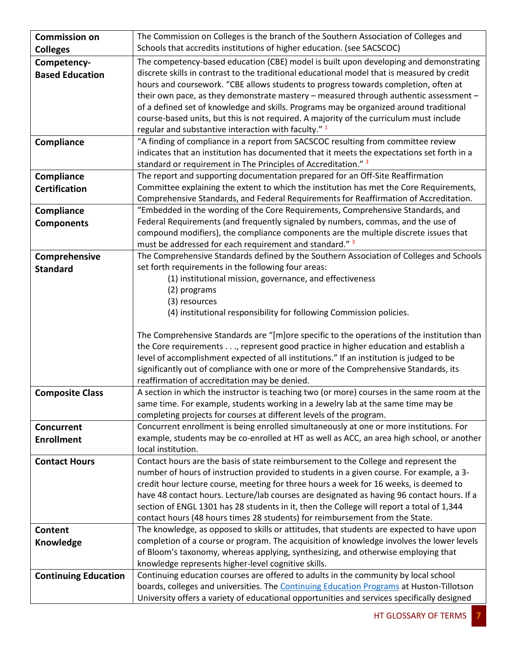| <b>Commission on</b>        | The Commission on Colleges is the branch of the Southern Association of Colleges and                                                                                     |
|-----------------------------|--------------------------------------------------------------------------------------------------------------------------------------------------------------------------|
| <b>Colleges</b>             | Schools that accredits institutions of higher education. (see SACSCOC)                                                                                                   |
| Competency-                 | The competency-based education (CBE) model is built upon developing and demonstrating                                                                                    |
| <b>Based Education</b>      | discrete skills in contrast to the traditional educational model that is measured by credit                                                                              |
|                             | hours and coursework. "CBE allows students to progress towards completion, often at                                                                                      |
|                             | their own pace, as they demonstrate mastery - measured through authentic assessment -                                                                                    |
|                             | of a defined set of knowledge and skills. Programs may be organized around traditional                                                                                   |
|                             | course-based units, but this is not required. A majority of the curriculum must include                                                                                  |
|                             | regular and substantive interaction with faculty." 1                                                                                                                     |
| Compliance                  | "A finding of compliance in a report from SACSCOC resulting from committee review                                                                                        |
|                             | indicates that an institution has documented that it meets the expectations set forth in a                                                                               |
|                             | standard or requirement in The Principles of Accreditation." 3                                                                                                           |
| Compliance                  | The report and supporting documentation prepared for an Off-Site Reaffirmation                                                                                           |
| <b>Certification</b>        | Committee explaining the extent to which the institution has met the Core Requirements,                                                                                  |
|                             | Comprehensive Standards, and Federal Requirements for Reaffirmation of Accreditation.<br>"Embedded in the wording of the Core Requirements, Comprehensive Standards, and |
| Compliance                  | Federal Requirements (and frequently signaled by numbers, commas, and the use of                                                                                         |
| <b>Components</b>           | compound modifiers), the compliance components are the multiple discrete issues that                                                                                     |
|                             | must be addressed for each requirement and standard." 3                                                                                                                  |
| Comprehensive               | The Comprehensive Standards defined by the Southern Association of Colleges and Schools                                                                                  |
| <b>Standard</b>             | set forth requirements in the following four areas:                                                                                                                      |
|                             | (1) institutional mission, governance, and effectiveness                                                                                                                 |
|                             | (2) programs                                                                                                                                                             |
|                             | (3) resources                                                                                                                                                            |
|                             | (4) institutional responsibility for following Commission policies.                                                                                                      |
|                             |                                                                                                                                                                          |
|                             | The Comprehensive Standards are "[m]ore specific to the operations of the institution than                                                                               |
|                             | the Core requirements, represent good practice in higher education and establish a                                                                                       |
|                             | level of accomplishment expected of all institutions." If an institution is judged to be                                                                                 |
|                             | significantly out of compliance with one or more of the Comprehensive Standards, its                                                                                     |
|                             | reaffirmation of accreditation may be denied.                                                                                                                            |
| <b>Composite Class</b>      | A section in which the instructor is teaching two (or more) courses in the same room at the                                                                              |
|                             | same time. For example, students working in a Jewelry lab at the same time may be<br>completing projects for courses at different levels of the program.                 |
| <b>Concurrent</b>           | Concurrent enrollment is being enrolled simultaneously at one or more institutions. For                                                                                  |
| <b>Enrollment</b>           | example, students may be co-enrolled at HT as well as ACC, an area high school, or another                                                                               |
|                             | local institution.                                                                                                                                                       |
| <b>Contact Hours</b>        | Contact hours are the basis of state reimbursement to the College and represent the                                                                                      |
|                             | number of hours of instruction provided to students in a given course. For example, a 3-                                                                                 |
|                             | credit hour lecture course, meeting for three hours a week for 16 weeks, is deemed to                                                                                    |
|                             | have 48 contact hours. Lecture/lab courses are designated as having 96 contact hours. If a                                                                               |
|                             | section of ENGL 1301 has 28 students in it, then the College will report a total of 1,344                                                                                |
|                             | contact hours (48 hours times 28 students) for reimbursement from the State.                                                                                             |
| <b>Content</b>              | The knowledge, as opposed to skills or attitudes, that students are expected to have upon                                                                                |
| Knowledge                   | completion of a course or program. The acquisition of knowledge involves the lower levels                                                                                |
|                             | of Bloom's taxonomy, whereas applying, synthesizing, and otherwise employing that                                                                                        |
|                             | knowledge represents higher-level cognitive skills.                                                                                                                      |
| <b>Continuing Education</b> | Continuing education courses are offered to adults in the community by local school                                                                                      |
|                             | boards, colleges and universities. The Continuing Education Programs at Huston-Tillotson                                                                                 |
|                             | University offers a variety of educational opportunities and services specifically designed                                                                              |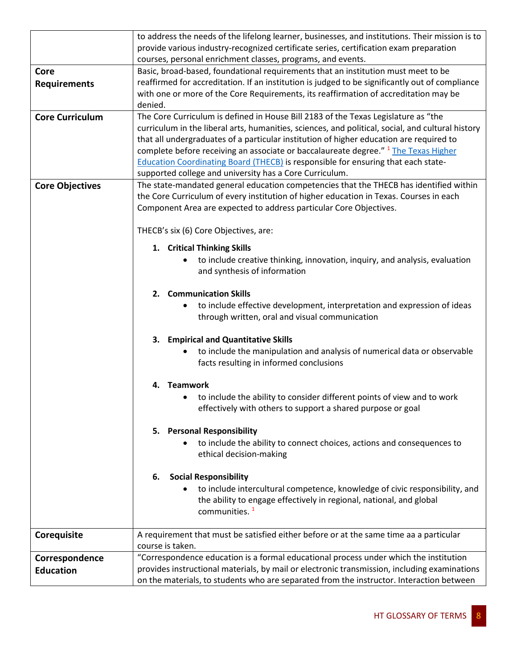|                        | to address the needs of the lifelong learner, businesses, and institutions. Their mission is to   |
|------------------------|---------------------------------------------------------------------------------------------------|
|                        | provide various industry-recognized certificate series, certification exam preparation            |
|                        | courses, personal enrichment classes, programs, and events.                                       |
| Core                   | Basic, broad-based, foundational requirements that an institution must meet to be                 |
| <b>Requirements</b>    | reaffirmed for accreditation. If an institution is judged to be significantly out of compliance   |
|                        | with one or more of the Core Requirements, its reaffirmation of accreditation may be              |
|                        | denied.                                                                                           |
| <b>Core Curriculum</b> | The Core Curriculum is defined in House Bill 2183 of the Texas Legislature as "the                |
|                        | curriculum in the liberal arts, humanities, sciences, and political, social, and cultural history |
|                        | that all undergraduates of a particular institution of higher education are required to           |
|                        | complete before receiving an associate or baccalaureate degree." <sup>1</sup> The Texas Higher    |
|                        | <b>Education Coordinating Board (THECB) is responsible for ensuring that each state-</b>          |
|                        | supported college and university has a Core Curriculum.                                           |
| <b>Core Objectives</b> | The state-mandated general education competencies that the THECB has identified within            |
|                        | the Core Curriculum of every institution of higher education in Texas. Courses in each            |
|                        | Component Area are expected to address particular Core Objectives.                                |
|                        |                                                                                                   |
|                        | THECB's six (6) Core Objectives, are:                                                             |
|                        | 1. Critical Thinking Skills                                                                       |
|                        | to include creative thinking, innovation, inquiry, and analysis, evaluation<br>$\bullet$          |
|                        | and synthesis of information                                                                      |
|                        |                                                                                                   |
|                        | 2. Communication Skills                                                                           |
|                        | to include effective development, interpretation and expression of ideas                          |
|                        | through written, oral and visual communication                                                    |
|                        |                                                                                                   |
|                        | 3. Empirical and Quantitative Skills                                                              |
|                        | to include the manipulation and analysis of numerical data or observable                          |
|                        | facts resulting in informed conclusions                                                           |
|                        |                                                                                                   |
|                        | 4. Teamwork                                                                                       |
|                        | to include the ability to consider different points of view and to work                           |
|                        | effectively with others to support a shared purpose or goal                                       |
|                        |                                                                                                   |
|                        | 5. Personal Responsibility                                                                        |
|                        | to include the ability to connect choices, actions and consequences to                            |
|                        | ethical decision-making                                                                           |
|                        |                                                                                                   |
|                        | <b>Social Responsibility</b><br>6.                                                                |
|                        | to include intercultural competence, knowledge of civic responsibility, and                       |
|                        | the ability to engage effectively in regional, national, and global                               |
|                        | communities. <sup>1</sup>                                                                         |
|                        | A requirement that must be satisfied either before or at the same time aa a particular            |
| Corequisite            | course is taken.                                                                                  |
| Correspondence         | "Correspondence education is a formal educational process under which the institution             |
| <b>Education</b>       | provides instructional materials, by mail or electronic transmission, including examinations      |
|                        | on the materials, to students who are separated from the instructor. Interaction between          |
|                        |                                                                                                   |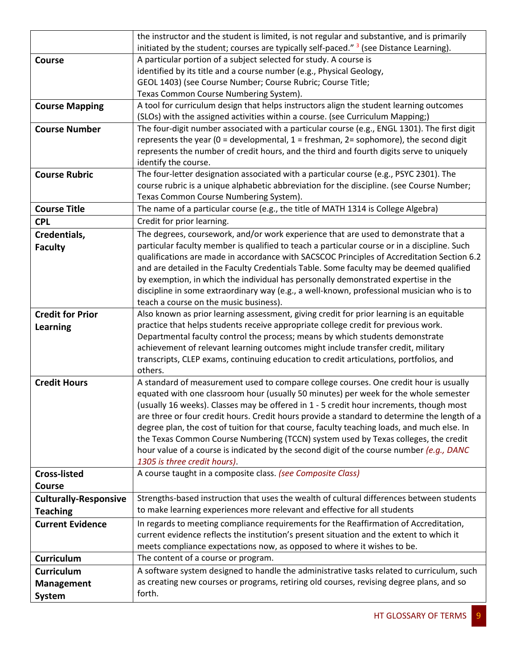|                              | the instructor and the student is limited, is not regular and substantive, and is primarily<br>initiated by the student; courses are typically self-paced." <sup>3</sup> (see Distance Learning). |
|------------------------------|---------------------------------------------------------------------------------------------------------------------------------------------------------------------------------------------------|
|                              | A particular portion of a subject selected for study. A course is                                                                                                                                 |
| <b>Course</b>                | identified by its title and a course number (e.g., Physical Geology,                                                                                                                              |
|                              |                                                                                                                                                                                                   |
|                              | GEOL 1403) (see Course Number; Course Rubric; Course Title;                                                                                                                                       |
|                              | Texas Common Course Numbering System).                                                                                                                                                            |
| <b>Course Mapping</b>        | A tool for curriculum design that helps instructors align the student learning outcomes<br>(SLOs) with the assigned activities within a course. (see Curriculum Mapping;)                         |
| <b>Course Number</b>         | The four-digit number associated with a particular course (e.g., ENGL 1301). The first digit<br>represents the year (0 = developmental, $1 =$ freshman, $2 =$ sophomore), the second digit        |
|                              | represents the number of credit hours, and the third and fourth digits serve to uniquely<br>identify the course.                                                                                  |
| <b>Course Rubric</b>         | The four-letter designation associated with a particular course (e.g., PSYC 2301). The                                                                                                            |
|                              | course rubric is a unique alphabetic abbreviation for the discipline. (see Course Number;                                                                                                         |
|                              | Texas Common Course Numbering System).                                                                                                                                                            |
| <b>Course Title</b>          | The name of a particular course (e.g., the title of MATH 1314 is College Algebra)                                                                                                                 |
| <b>CPL</b>                   | Credit for prior learning.                                                                                                                                                                        |
| Credentials,                 | The degrees, coursework, and/or work experience that are used to demonstrate that a                                                                                                               |
| <b>Faculty</b>               | particular faculty member is qualified to teach a particular course or in a discipline. Such                                                                                                      |
|                              | qualifications are made in accordance with SACSCOC Principles of Accreditation Section 6.2                                                                                                        |
|                              | and are detailed in the Faculty Credentials Table. Some faculty may be deemed qualified                                                                                                           |
|                              | by exemption, in which the individual has personally demonstrated expertise in the                                                                                                                |
|                              | discipline in some extraordinary way (e.g., a well-known, professional musician who is to                                                                                                         |
|                              | teach a course on the music business).                                                                                                                                                            |
| <b>Credit for Prior</b>      | Also known as prior learning assessment, giving credit for prior learning is an equitable                                                                                                         |
| <b>Learning</b>              | practice that helps students receive appropriate college credit for previous work.                                                                                                                |
|                              | Departmental faculty control the process; means by which students demonstrate                                                                                                                     |
|                              | achievement of relevant learning outcomes might include transfer credit, military                                                                                                                 |
|                              | transcripts, CLEP exams, continuing education to credit articulations, portfolios, and                                                                                                            |
|                              | others.                                                                                                                                                                                           |
| <b>Credit Hours</b>          | A standard of measurement used to compare college courses. One credit hour is usually                                                                                                             |
|                              | equated with one classroom hour (usually 50 minutes) per week for the whole semester                                                                                                              |
|                              | (usually 16 weeks). Classes may be offered in 1 - 5 credit hour increments, though most                                                                                                           |
|                              | are three or four credit hours. Credit hours provide a standard to determine the length of a                                                                                                      |
|                              | degree plan, the cost of tuition for that course, faculty teaching loads, and much else. In                                                                                                       |
|                              | the Texas Common Course Numbering (TCCN) system used by Texas colleges, the credit                                                                                                                |
|                              | hour value of a course is indicated by the second digit of the course number (e.g., DANC                                                                                                          |
|                              | 1305 is three credit hours).                                                                                                                                                                      |
| <b>Cross-listed</b>          | A course taught in a composite class. (see Composite Class)                                                                                                                                       |
| <b>Course</b>                |                                                                                                                                                                                                   |
| <b>Culturally-Responsive</b> | Strengths-based instruction that uses the wealth of cultural differences between students                                                                                                         |
| <b>Teaching</b>              | to make learning experiences more relevant and effective for all students                                                                                                                         |
| <b>Current Evidence</b>      | In regards to meeting compliance requirements for the Reaffirmation of Accreditation,                                                                                                             |
|                              | current evidence reflects the institution's present situation and the extent to which it                                                                                                          |
|                              | meets compliance expectations now, as opposed to where it wishes to be.                                                                                                                           |
| Curriculum                   | The content of a course or program.                                                                                                                                                               |
| <b>Curriculum</b>            | A software system designed to handle the administrative tasks related to curriculum, such                                                                                                         |
| <b>Management</b>            | as creating new courses or programs, retiring old courses, revising degree plans, and so                                                                                                          |
| <b>System</b>                | forth.                                                                                                                                                                                            |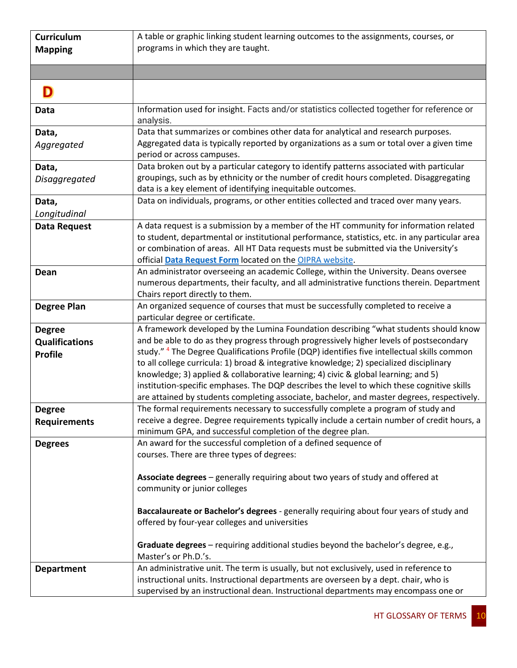| Curriculum                                               | A table or graphic linking student learning outcomes to the assignments, courses, or                                                                                                                                                                                                                                                                                                                                                                                                                                                                                                                                                                                    |
|----------------------------------------------------------|-------------------------------------------------------------------------------------------------------------------------------------------------------------------------------------------------------------------------------------------------------------------------------------------------------------------------------------------------------------------------------------------------------------------------------------------------------------------------------------------------------------------------------------------------------------------------------------------------------------------------------------------------------------------------|
| <b>Mapping</b>                                           | programs in which they are taught.                                                                                                                                                                                                                                                                                                                                                                                                                                                                                                                                                                                                                                      |
|                                                          |                                                                                                                                                                                                                                                                                                                                                                                                                                                                                                                                                                                                                                                                         |
|                                                          |                                                                                                                                                                                                                                                                                                                                                                                                                                                                                                                                                                                                                                                                         |
| Data                                                     | Information used for insight. Facts and/or statistics collected together for reference or<br>analysis.                                                                                                                                                                                                                                                                                                                                                                                                                                                                                                                                                                  |
| Data,<br>Aggregated                                      | Data that summarizes or combines other data for analytical and research purposes.<br>Aggregated data is typically reported by organizations as a sum or total over a given time<br>period or across campuses.                                                                                                                                                                                                                                                                                                                                                                                                                                                           |
| Data,<br>Disaggregated                                   | Data broken out by a particular category to identify patterns associated with particular<br>groupings, such as by ethnicity or the number of credit hours completed. Disaggregating<br>data is a key element of identifying inequitable outcomes.                                                                                                                                                                                                                                                                                                                                                                                                                       |
| Data,<br>Longitudinal                                    | Data on individuals, programs, or other entities collected and traced over many years.                                                                                                                                                                                                                                                                                                                                                                                                                                                                                                                                                                                  |
| <b>Data Request</b>                                      | A data request is a submission by a member of the HT community for information related<br>to student, departmental or institutional performance, statistics, etc. in any particular area<br>or combination of areas. All HT Data requests must be submitted via the University's<br>official Data Request Form located on the OIPRA website.                                                                                                                                                                                                                                                                                                                            |
| Dean                                                     | An administrator overseeing an academic College, within the University. Deans oversee<br>numerous departments, their faculty, and all administrative functions therein. Department<br>Chairs report directly to them.                                                                                                                                                                                                                                                                                                                                                                                                                                                   |
| <b>Degree Plan</b>                                       | An organized sequence of courses that must be successfully completed to receive a<br>particular degree or certificate.                                                                                                                                                                                                                                                                                                                                                                                                                                                                                                                                                  |
| <b>Degree</b><br><b>Qualifications</b><br><b>Profile</b> | A framework developed by the Lumina Foundation describing "what students should know<br>and be able to do as they progress through progressively higher levels of postsecondary<br>study." <sup>4</sup> The Degree Qualifications Profile (DQP) identifies five intellectual skills common<br>to all college curricula: 1) broad & integrative knowledge; 2) specialized disciplinary<br>knowledge; 3) applied & collaborative learning; 4) civic & global learning; and 5)<br>institution-specific emphases. The DQP describes the level to which these cognitive skills<br>are attained by students completing associate, bachelor, and master degrees, respectively. |
| <b>Degree</b><br><b>Requirements</b>                     | The formal requirements necessary to successfully complete a program of study and<br>receive a degree. Degree requirements typically include a certain number of credit hours, a<br>minimum GPA, and successful completion of the degree plan.                                                                                                                                                                                                                                                                                                                                                                                                                          |
| <b>Degrees</b>                                           | An award for the successful completion of a defined sequence of<br>courses. There are three types of degrees:                                                                                                                                                                                                                                                                                                                                                                                                                                                                                                                                                           |
|                                                          | Associate degrees - generally requiring about two years of study and offered at<br>community or junior colleges                                                                                                                                                                                                                                                                                                                                                                                                                                                                                                                                                         |
|                                                          | Baccalaureate or Bachelor's degrees - generally requiring about four years of study and<br>offered by four-year colleges and universities                                                                                                                                                                                                                                                                                                                                                                                                                                                                                                                               |
|                                                          | Graduate degrees - requiring additional studies beyond the bachelor's degree, e.g.,<br>Master's or Ph.D.'s.                                                                                                                                                                                                                                                                                                                                                                                                                                                                                                                                                             |
| <b>Department</b>                                        | An administrative unit. The term is usually, but not exclusively, used in reference to<br>instructional units. Instructional departments are overseen by a dept. chair, who is<br>supervised by an instructional dean. Instructional departments may encompass one or                                                                                                                                                                                                                                                                                                                                                                                                   |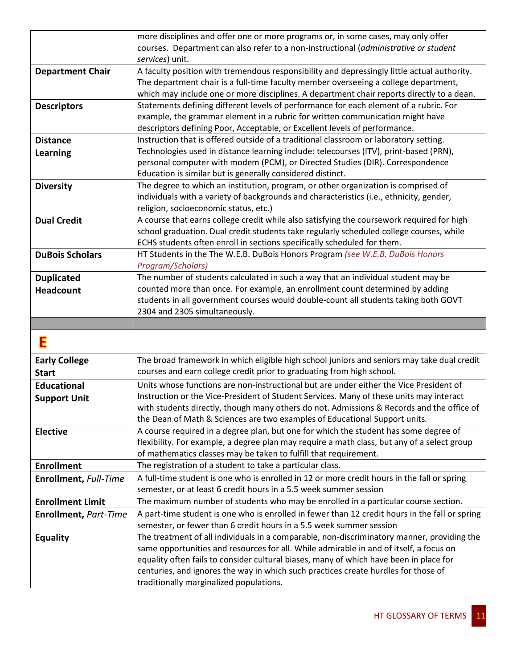|                              | more disciplines and offer one or more programs or, in some cases, may only offer                                                                                            |
|------------------------------|------------------------------------------------------------------------------------------------------------------------------------------------------------------------------|
|                              | courses. Department can also refer to a non-instructional (administrative or student                                                                                         |
|                              | services) unit.                                                                                                                                                              |
| <b>Department Chair</b>      | A faculty position with tremendous responsibility and depressingly little actual authority.                                                                                  |
|                              | The department chair is a full-time faculty member overseeing a college department,                                                                                          |
|                              | which may include one or more disciplines. A department chair reports directly to a dean.                                                                                    |
| <b>Descriptors</b>           | Statements defining different levels of performance for each element of a rubric. For                                                                                        |
|                              | example, the grammar element in a rubric for written communication might have                                                                                                |
|                              | descriptors defining Poor, Acceptable, or Excellent levels of performance.                                                                                                   |
| <b>Distance</b>              | Instruction that is offered outside of a traditional classroom or laboratory setting.                                                                                        |
| <b>Learning</b>              | Technologies used in distance learning include: telecourses (ITV), print-based (PRN),                                                                                        |
|                              | personal computer with modem (PCM), or Directed Studies (DIR). Correspondence                                                                                                |
|                              | Education is similar but is generally considered distinct.                                                                                                                   |
| <b>Diversity</b>             | The degree to which an institution, program, or other organization is comprised of                                                                                           |
|                              | individuals with a variety of backgrounds and characteristics (i.e., ethnicity, gender,                                                                                      |
|                              | religion, socioeconomic status, etc.)                                                                                                                                        |
| <b>Dual Credit</b>           | A course that earns college credit while also satisfying the coursework required for high                                                                                    |
|                              | school graduation. Dual credit students take regularly scheduled college courses, while                                                                                      |
|                              | ECHS students often enroll in sections specifically scheduled for them.                                                                                                      |
| <b>DuBois Scholars</b>       | HT Students in the The W.E.B. DuBois Honors Program (see W.E.B. DuBois Honors                                                                                                |
|                              | Program/Scholars)                                                                                                                                                            |
| <b>Duplicated</b>            | The number of students calculated in such a way that an individual student may be                                                                                            |
| <b>Headcount</b>             | counted more than once. For example, an enrollment count determined by adding                                                                                                |
|                              | students in all government courses would double-count all students taking both GOVT                                                                                          |
|                              |                                                                                                                                                                              |
|                              | 2304 and 2305 simultaneously.                                                                                                                                                |
|                              |                                                                                                                                                                              |
|                              |                                                                                                                                                                              |
| Ε                            |                                                                                                                                                                              |
| <b>Early College</b>         | The broad framework in which eligible high school juniors and seniors may take dual credit                                                                                   |
| <b>Start</b>                 | courses and earn college credit prior to graduating from high school.                                                                                                        |
| <b>Educational</b>           | Units whose functions are non-instructional but are under either the Vice President of                                                                                       |
|                              | Instruction or the Vice-President of Student Services. Many of these units may interact                                                                                      |
| <b>Support Unit</b>          | with students directly, though many others do not. Admissions & Records and the office of                                                                                    |
|                              | the Dean of Math & Sciences are two examples of Educational Support units.                                                                                                   |
| <b>Elective</b>              | A course required in a degree plan, but one for which the student has some degree of                                                                                         |
|                              | flexibility. For example, a degree plan may require a math class, but any of a select group                                                                                  |
|                              | of mathematics classes may be taken to fulfill that requirement.                                                                                                             |
| <b>Enrollment</b>            | The registration of a student to take a particular class.                                                                                                                    |
| Enrollment, Full-Time        | A full-time student is one who is enrolled in 12 or more credit hours in the fall or spring                                                                                  |
|                              | semester, or at least 6 credit hours in a 5.5 week summer session                                                                                                            |
| <b>Enrollment Limit</b>      | The maximum number of students who may be enrolled in a particular course section.                                                                                           |
| <b>Enrollment, Part-Time</b> | A part-time student is one who is enrolled in fewer than 12 credit hours in the fall or spring                                                                               |
|                              | semester, or fewer than 6 credit hours in a 5.5 week summer session                                                                                                          |
|                              | The treatment of all individuals in a comparable, non-discriminatory manner, providing the                                                                                   |
| Equality                     | same opportunities and resources for all. While admirable in and of itself, a focus on                                                                                       |
|                              |                                                                                                                                                                              |
|                              | equality often fails to consider cultural biases, many of which have been in place for<br>centuries, and ignores the way in which such practices create hurdles for those of |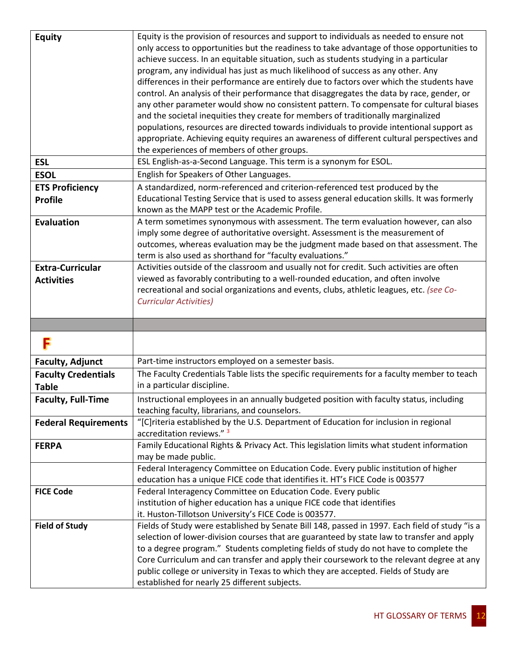| <b>Equity</b>                              | Equity is the provision of resources and support to individuals as needed to ensure not<br>only access to opportunities but the readiness to take advantage of those opportunities to<br>achieve success. In an equitable situation, such as students studying in a particular<br>program, any individual has just as much likelihood of success as any other. Any<br>differences in their performance are entirely due to factors over which the students have |
|--------------------------------------------|-----------------------------------------------------------------------------------------------------------------------------------------------------------------------------------------------------------------------------------------------------------------------------------------------------------------------------------------------------------------------------------------------------------------------------------------------------------------|
|                                            | control. An analysis of their performance that disaggregates the data by race, gender, or<br>any other parameter would show no consistent pattern. To compensate for cultural biases<br>and the societal inequities they create for members of traditionally marginalized                                                                                                                                                                                       |
|                                            | populations, resources are directed towards individuals to provide intentional support as<br>appropriate. Achieving equity requires an awareness of different cultural perspectives and<br>the experiences of members of other groups.                                                                                                                                                                                                                          |
| <b>ESL</b>                                 | ESL English-as-a-Second Language. This term is a synonym for ESOL.                                                                                                                                                                                                                                                                                                                                                                                              |
| <b>ESOL</b>                                | English for Speakers of Other Languages.                                                                                                                                                                                                                                                                                                                                                                                                                        |
| <b>ETS Proficiency</b>                     | A standardized, norm-referenced and criterion-referenced test produced by the                                                                                                                                                                                                                                                                                                                                                                                   |
| <b>Profile</b>                             | Educational Testing Service that is used to assess general education skills. It was formerly<br>known as the MAPP test or the Academic Profile.                                                                                                                                                                                                                                                                                                                 |
| <b>Evaluation</b>                          | A term sometimes synonymous with assessment. The term evaluation however, can also<br>imply some degree of authoritative oversight. Assessment is the measurement of<br>outcomes, whereas evaluation may be the judgment made based on that assessment. The<br>term is also used as shorthand for "faculty evaluations."                                                                                                                                        |
| <b>Extra-Curricular</b>                    | Activities outside of the classroom and usually not for credit. Such activities are often                                                                                                                                                                                                                                                                                                                                                                       |
| <b>Activities</b>                          | viewed as favorably contributing to a well-rounded education, and often involve                                                                                                                                                                                                                                                                                                                                                                                 |
|                                            | recreational and social organizations and events, clubs, athletic leagues, etc. (see Co-                                                                                                                                                                                                                                                                                                                                                                        |
|                                            | <b>Curricular Activities)</b>                                                                                                                                                                                                                                                                                                                                                                                                                                   |
|                                            |                                                                                                                                                                                                                                                                                                                                                                                                                                                                 |
|                                            |                                                                                                                                                                                                                                                                                                                                                                                                                                                                 |
|                                            |                                                                                                                                                                                                                                                                                                                                                                                                                                                                 |
| <b>Faculty, Adjunct</b>                    | Part-time instructors employed on a semester basis.                                                                                                                                                                                                                                                                                                                                                                                                             |
| <b>Faculty Credentials</b><br><b>Table</b> | The Faculty Credentials Table lists the specific requirements for a faculty member to teach<br>in a particular discipline.                                                                                                                                                                                                                                                                                                                                      |
| <b>Faculty, Full-Time</b>                  | Instructional employees in an annually budgeted position with faculty status, including<br>teaching faculty, librarians, and counselors.                                                                                                                                                                                                                                                                                                                        |
| <b>Federal Requirements</b>                | "[C]riteria established by the U.S. Department of Education for inclusion in regional<br>accreditation reviews." 3                                                                                                                                                                                                                                                                                                                                              |
| <b>FERPA</b>                               | Family Educational Rights & Privacy Act. This legislation limits what student information<br>may be made public.                                                                                                                                                                                                                                                                                                                                                |
|                                            | Federal Interagency Committee on Education Code. Every public institution of higher                                                                                                                                                                                                                                                                                                                                                                             |
| <b>FICE Code</b>                           | education has a unique FICE code that identifies it. HT's FICE Code is 003577                                                                                                                                                                                                                                                                                                                                                                                   |
|                                            | Federal Interagency Committee on Education Code. Every public<br>institution of higher education has a unique FICE code that identifies                                                                                                                                                                                                                                                                                                                         |
|                                            | it. Huston-Tillotson University's FICE Code is 003577.                                                                                                                                                                                                                                                                                                                                                                                                          |
| <b>Field of Study</b>                      | Fields of Study were established by Senate Bill 148, passed in 1997. Each field of study "is a                                                                                                                                                                                                                                                                                                                                                                  |
|                                            | selection of lower-division courses that are guaranteed by state law to transfer and apply                                                                                                                                                                                                                                                                                                                                                                      |
|                                            | to a degree program." Students completing fields of study do not have to complete the                                                                                                                                                                                                                                                                                                                                                                           |
|                                            | Core Curriculum and can transfer and apply their coursework to the relevant degree at any                                                                                                                                                                                                                                                                                                                                                                       |
|                                            | public college or university in Texas to which they are accepted. Fields of Study are<br>established for nearly 25 different subjects.                                                                                                                                                                                                                                                                                                                          |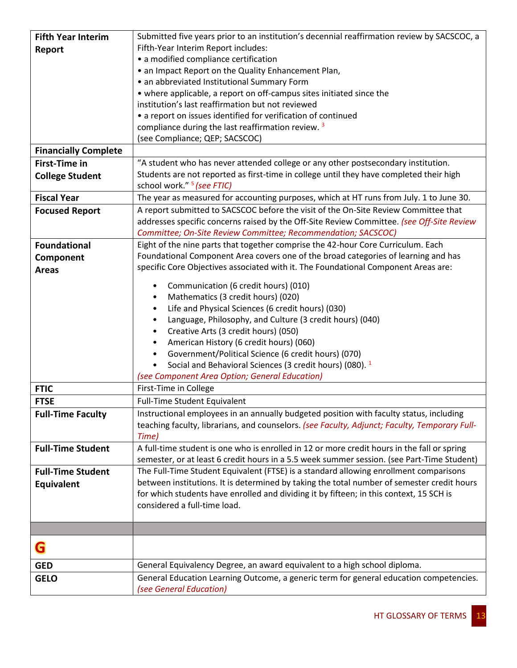| <b>Fifth Year Interim</b>   | Submitted five years prior to an institution's decennial reaffirmation review by SACSCOC, a   |
|-----------------------------|-----------------------------------------------------------------------------------------------|
| Report                      | Fifth-Year Interim Report includes:                                                           |
|                             | • a modified compliance certification                                                         |
|                             | • an Impact Report on the Quality Enhancement Plan,                                           |
|                             | • an abbreviated Institutional Summary Form                                                   |
|                             | • where applicable, a report on off-campus sites initiated since the                          |
|                             | institution's last reaffirmation but not reviewed                                             |
|                             | • a report on issues identified for verification of continued                                 |
|                             | compliance during the last reaffirmation review. <sup>3</sup>                                 |
|                             | (see Compliance; QEP; SACSCOC)                                                                |
| <b>Financially Complete</b> |                                                                                               |
| <b>First-Time in</b>        | "A student who has never attended college or any other postsecondary institution.             |
| <b>College Student</b>      | Students are not reported as first-time in college until they have completed their high       |
|                             | school work." <sup>5</sup> (see FTIC)                                                         |
| <b>Fiscal Year</b>          | The year as measured for accounting purposes, which at HT runs from July. 1 to June 30.       |
| <b>Focused Report</b>       | A report submitted to SACSCOC before the visit of the On-Site Review Committee that           |
|                             | addresses specific concerns raised by the Off-Site Review Committee. (see Off-Site Review     |
|                             | Committee; On-Site Review Committee; Recommendation; SACSCOC)                                 |
| <b>Foundational</b>         | Eight of the nine parts that together comprise the 42-hour Core Curriculum. Each              |
| Component                   | Foundational Component Area covers one of the broad categories of learning and has            |
| <b>Areas</b>                | specific Core Objectives associated with it. The Foundational Component Areas are:            |
|                             | Communication (6 credit hours) (010)<br>٠                                                     |
|                             | Mathematics (3 credit hours) (020)<br>٠                                                       |
|                             | Life and Physical Sciences (6 credit hours) (030)<br>$\bullet$                                |
|                             | Language, Philosophy, and Culture (3 credit hours) (040)<br>$\bullet$                         |
|                             | Creative Arts (3 credit hours) (050)<br>$\bullet$                                             |
|                             | American History (6 credit hours) (060)<br>$\bullet$                                          |
|                             | Government/Political Science (6 credit hours) (070)<br>$\bullet$                              |
|                             | Social and Behavioral Sciences (3 credit hours) (080). <sup>1</sup><br>$\bullet$              |
|                             | (see Component Area Option; General Education)                                                |
| <b>FTIC</b>                 | First-Time in College                                                                         |
| <b>FTSE</b>                 | <b>Full-Time Student Equivalent</b>                                                           |
| <b>Full-Time Faculty</b>    | Instructional employees in an annually budgeted position with faculty status, including       |
|                             | teaching faculty, librarians, and counselors. (see Faculty, Adjunct; Faculty, Temporary Full- |
|                             | Time)                                                                                         |
| <b>Full-Time Student</b>    | A full-time student is one who is enrolled in 12 or more credit hours in the fall or spring   |
|                             | semester, or at least 6 credit hours in a 5.5 week summer session. (see Part-Time Student)    |
| <b>Full-Time Student</b>    | The Full-Time Student Equivalent (FTSE) is a standard allowing enrollment comparisons         |
| Equivalent                  | between institutions. It is determined by taking the total number of semester credit hours    |
|                             | for which students have enrolled and dividing it by fifteen; in this context, 15 SCH is       |
|                             | considered a full-time load.                                                                  |
|                             |                                                                                               |
|                             |                                                                                               |
|                             |                                                                                               |
| G                           |                                                                                               |
| <b>GED</b>                  | General Equivalency Degree, an award equivalent to a high school diploma.                     |
| <b>GELO</b>                 | General Education Learning Outcome, a generic term for general education competencies.        |
|                             | (see General Education)                                                                       |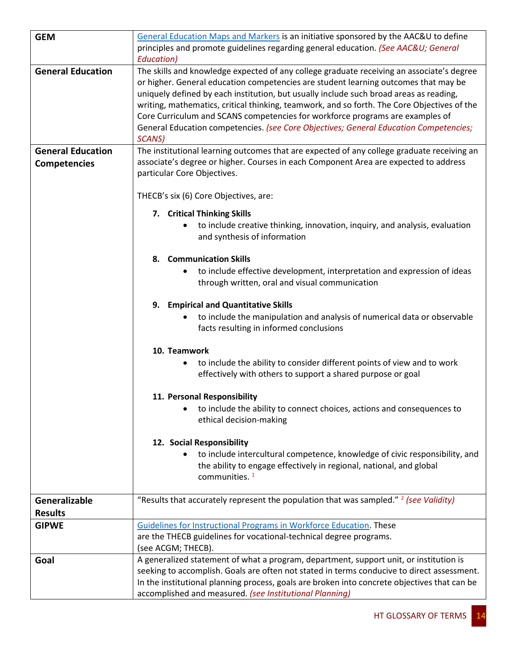| <b>GEM</b>               | General Education Maps and Markers is an initiative sponsored by the AAC&U to define                                                                                                                                                                                                                                                                                                                                                                                                                                                                          |
|--------------------------|---------------------------------------------------------------------------------------------------------------------------------------------------------------------------------------------------------------------------------------------------------------------------------------------------------------------------------------------------------------------------------------------------------------------------------------------------------------------------------------------------------------------------------------------------------------|
|                          | principles and promote guidelines regarding general education. (See AAC&U General                                                                                                                                                                                                                                                                                                                                                                                                                                                                             |
|                          | Education)                                                                                                                                                                                                                                                                                                                                                                                                                                                                                                                                                    |
| <b>General Education</b> | The skills and knowledge expected of any college graduate receiving an associate's degree<br>or higher. General education competencies are student learning outcomes that may be<br>uniquely defined by each institution, but usually include such broad areas as reading,<br>writing, mathematics, critical thinking, teamwork, and so forth. The Core Objectives of the<br>Core Curriculum and SCANS competencies for workforce programs are examples of<br>General Education competencies. (see Core Objectives; General Education Competencies;<br>SCANS) |
| <b>General Education</b> | The institutional learning outcomes that are expected of any college graduate receiving an                                                                                                                                                                                                                                                                                                                                                                                                                                                                    |
| Competencies             | associate's degree or higher. Courses in each Component Area are expected to address<br>particular Core Objectives.                                                                                                                                                                                                                                                                                                                                                                                                                                           |
|                          | THECB's six (6) Core Objectives, are:                                                                                                                                                                                                                                                                                                                                                                                                                                                                                                                         |
|                          | 7. Critical Thinking Skills                                                                                                                                                                                                                                                                                                                                                                                                                                                                                                                                   |
|                          | to include creative thinking, innovation, inquiry, and analysis, evaluation<br>and synthesis of information                                                                                                                                                                                                                                                                                                                                                                                                                                                   |
|                          | <b>Communication Skills</b><br>8.                                                                                                                                                                                                                                                                                                                                                                                                                                                                                                                             |
|                          | to include effective development, interpretation and expression of ideas<br>$\bullet$                                                                                                                                                                                                                                                                                                                                                                                                                                                                         |
|                          | through written, oral and visual communication                                                                                                                                                                                                                                                                                                                                                                                                                                                                                                                |
|                          | 9. Empirical and Quantitative Skills                                                                                                                                                                                                                                                                                                                                                                                                                                                                                                                          |
|                          | to include the manipulation and analysis of numerical data or observable<br>facts resulting in informed conclusions                                                                                                                                                                                                                                                                                                                                                                                                                                           |
|                          | 10. Teamwork                                                                                                                                                                                                                                                                                                                                                                                                                                                                                                                                                  |
|                          | to include the ability to consider different points of view and to work<br>effectively with others to support a shared purpose or goal                                                                                                                                                                                                                                                                                                                                                                                                                        |
|                          | 11. Personal Responsibility                                                                                                                                                                                                                                                                                                                                                                                                                                                                                                                                   |
|                          | to include the ability to connect choices, actions and consequences to<br>ethical decision-making                                                                                                                                                                                                                                                                                                                                                                                                                                                             |
|                          |                                                                                                                                                                                                                                                                                                                                                                                                                                                                                                                                                               |
|                          | 12. Social Responsibility<br>to include intercultural competence, knowledge of civic responsibility, and                                                                                                                                                                                                                                                                                                                                                                                                                                                      |
|                          | the ability to engage effectively in regional, national, and global                                                                                                                                                                                                                                                                                                                                                                                                                                                                                           |
|                          | communities. <sup>1</sup>                                                                                                                                                                                                                                                                                                                                                                                                                                                                                                                                     |
| Generalizable            | "Results that accurately represent the population that was sampled." <sup>2</sup> (see Validity)                                                                                                                                                                                                                                                                                                                                                                                                                                                              |
| <b>Results</b>           |                                                                                                                                                                                                                                                                                                                                                                                                                                                                                                                                                               |
| <b>GIPWE</b>             | Guidelines for Instructional Programs in Workforce Education. These                                                                                                                                                                                                                                                                                                                                                                                                                                                                                           |
|                          | are the THECB guidelines for vocational-technical degree programs.                                                                                                                                                                                                                                                                                                                                                                                                                                                                                            |
|                          | (see ACGM; THECB).                                                                                                                                                                                                                                                                                                                                                                                                                                                                                                                                            |
| Goal                     | A generalized statement of what a program, department, support unit, or institution is                                                                                                                                                                                                                                                                                                                                                                                                                                                                        |
|                          | seeking to accomplish. Goals are often not stated in terms conducive to direct assessment.                                                                                                                                                                                                                                                                                                                                                                                                                                                                    |
|                          | In the institutional planning process, goals are broken into concrete objectives that can be                                                                                                                                                                                                                                                                                                                                                                                                                                                                  |
|                          | accomplished and measured. (see Institutional Planning)                                                                                                                                                                                                                                                                                                                                                                                                                                                                                                       |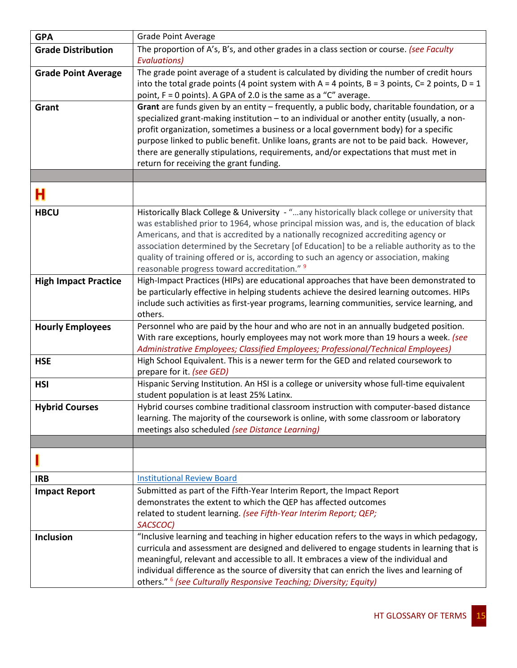| <b>GPA</b>                  | <b>Grade Point Average</b>                                                                                      |
|-----------------------------|-----------------------------------------------------------------------------------------------------------------|
| <b>Grade Distribution</b>   | The proportion of A's, B's, and other grades in a class section or course. (see Faculty                         |
|                             | <b>Evaluations)</b>                                                                                             |
| <b>Grade Point Average</b>  | The grade point average of a student is calculated by dividing the number of credit hours                       |
|                             | into the total grade points (4 point system with $A = 4$ points, B = 3 points, C= 2 points, D = 1               |
|                             | point, F = 0 points). A GPA of 2.0 is the same as a "C" average.                                                |
| Grant                       | Grant are funds given by an entity - frequently, a public body, charitable foundation, or a                     |
|                             | specialized grant-making institution - to an individual or another entity (usually, a non-                      |
|                             | profit organization, sometimes a business or a local government body) for a specific                            |
|                             | purpose linked to public benefit. Unlike loans, grants are not to be paid back. However,                        |
|                             | there are generally stipulations, requirements, and/or expectations that must met in                            |
|                             | return for receiving the grant funding.                                                                         |
|                             |                                                                                                                 |
| н                           |                                                                                                                 |
| <b>HBCU</b>                 | Historically Black College & University - "any historically black college or university that                    |
|                             | was established prior to 1964, whose principal mission was, and is, the education of black                      |
|                             | Americans, and that is accredited by a nationally recognized accrediting agency or                              |
|                             | association determined by the Secretary [of Education] to be a reliable authority as to the                     |
|                             | quality of training offered or is, according to such an agency or association, making                           |
|                             | reasonable progress toward accreditation." 9                                                                    |
| <b>High Impact Practice</b> | High-Impact Practices (HIPs) are educational approaches that have been demonstrated to                          |
|                             | be particularly effective in helping students achieve the desired learning outcomes. HIPs                       |
|                             | include such activities as first-year programs, learning communities, service learning, and                     |
|                             | others.                                                                                                         |
| <b>Hourly Employees</b>     | Personnel who are paid by the hour and who are not in an annually budgeted position.                            |
|                             | With rare exceptions, hourly employees may not work more than 19 hours a week. (see                             |
|                             | Administrative Employees; Classified Employees; Professional/Technical Employees)                               |
| <b>HSE</b>                  | High School Equivalent. This is a newer term for the GED and related coursework to<br>prepare for it. (see GED) |
| <b>HSI</b>                  | Hispanic Serving Institution. An HSI is a college or university whose full-time equivalent                      |
|                             | student population is at least 25% Latinx.                                                                      |
| <b>Hybrid Courses</b>       | Hybrid courses combine traditional classroom instruction with computer-based distance                           |
|                             | learning. The majority of the coursework is online, with some classroom or laboratory                           |
|                             | meetings also scheduled (see Distance Learning)                                                                 |
|                             |                                                                                                                 |
|                             |                                                                                                                 |
| <b>IRB</b>                  | <b>Institutional Review Board</b>                                                                               |
|                             | Submitted as part of the Fifth-Year Interim Report, the Impact Report                                           |
| <b>Impact Report</b>        | demonstrates the extent to which the QEP has affected outcomes                                                  |
|                             | related to student learning. (see Fifth-Year Interim Report; QEP;                                               |
|                             | SACSCOC)                                                                                                        |
| <b>Inclusion</b>            | "Inclusive learning and teaching in higher education refers to the ways in which pedagogy,                      |
|                             | curricula and assessment are designed and delivered to engage students in learning that is                      |
|                             | meaningful, relevant and accessible to all. It embraces a view of the individual and                            |
|                             | individual difference as the source of diversity that can enrich the lives and learning of                      |
|                             | others." <sup>6</sup> (see Culturally Responsive Teaching; Diversity; Equity)                                   |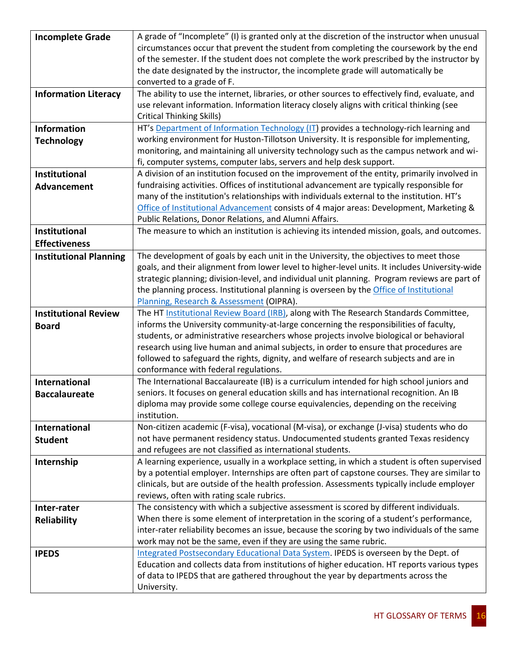| <b>Incomplete Grade</b>       | A grade of "Incomplete" (I) is granted only at the discretion of the instructor when unusual                                                                                       |
|-------------------------------|------------------------------------------------------------------------------------------------------------------------------------------------------------------------------------|
|                               | circumstances occur that prevent the student from completing the coursework by the end                                                                                             |
|                               | of the semester. If the student does not complete the work prescribed by the instructor by                                                                                         |
|                               | the date designated by the instructor, the incomplete grade will automatically be                                                                                                  |
|                               | converted to a grade of F.                                                                                                                                                         |
| <b>Information Literacy</b>   | The ability to use the internet, libraries, or other sources to effectively find, evaluate, and                                                                                    |
|                               | use relevant information. Information literacy closely aligns with critical thinking (see                                                                                          |
|                               | <b>Critical Thinking Skills)</b>                                                                                                                                                   |
| <b>Information</b>            | HT's Department of Information Technology (IT) provides a technology-rich learning and                                                                                             |
| <b>Technology</b>             | working environment for Huston-Tillotson University. It is responsible for implementing,                                                                                           |
|                               | monitoring, and maintaining all university technology such as the campus network and wi-                                                                                           |
|                               | fi, computer systems, computer labs, servers and help desk support.                                                                                                                |
| Institutional                 | A division of an institution focused on the improvement of the entity, primarily involved in                                                                                       |
| Advancement                   | fundraising activities. Offices of institutional advancement are typically responsible for                                                                                         |
|                               | many of the institution's relationships with individuals external to the institution. HT's                                                                                         |
|                               | Office of Institutional Advancement consists of 4 major areas: Development, Marketing &                                                                                            |
|                               | Public Relations, Donor Relations, and Alumni Affairs.                                                                                                                             |
| Institutional                 | The measure to which an institution is achieving its intended mission, goals, and outcomes.                                                                                        |
| <b>Effectiveness</b>          |                                                                                                                                                                                    |
| <b>Institutional Planning</b> | The development of goals by each unit in the University, the objectives to meet those                                                                                              |
|                               | goals, and their alignment from lower level to higher-level units. It includes University-wide                                                                                     |
|                               | strategic planning; division-level, and individual unit planning. Program reviews are part of                                                                                      |
|                               | the planning process. Institutional planning is overseen by the Office of Institutional                                                                                            |
|                               | Planning, Research & Assessment (OIPRA).<br>The HT Institutional Review Board (IRB), along with The Research Standards Committee,                                                  |
| <b>Institutional Review</b>   | informs the University community-at-large concerning the responsibilities of faculty,                                                                                              |
| <b>Board</b>                  | students, or administrative researchers whose projects involve biological or behavioral                                                                                            |
|                               | research using live human and animal subjects, in order to ensure that procedures are                                                                                              |
|                               | followed to safeguard the rights, dignity, and welfare of research subjects and are in                                                                                             |
|                               | conformance with federal regulations.                                                                                                                                              |
| <b>International</b>          | The International Baccalaureate (IB) is a curriculum intended for high school juniors and                                                                                          |
| <b>Baccalaureate</b>          | seniors. It focuses on general education skills and has international recognition. An IB                                                                                           |
|                               | diploma may provide some college course equivalencies, depending on the receiving                                                                                                  |
|                               | institution.                                                                                                                                                                       |
| International                 | Non-citizen academic (F-visa), vocational (M-visa), or exchange (J-visa) students who do                                                                                           |
| <b>Student</b>                | not have permanent residency status. Undocumented students granted Texas residency                                                                                                 |
|                               | and refugees are not classified as international students.                                                                                                                         |
| Internship                    | A learning experience, usually in a workplace setting, in which a student is often supervised                                                                                      |
|                               | by a potential employer. Internships are often part of capstone courses. They are similar to                                                                                       |
|                               | clinicals, but are outside of the health profession. Assessments typically include employer                                                                                        |
|                               | reviews, often with rating scale rubrics.                                                                                                                                          |
| Inter-rater                   | The consistency with which a subjective assessment is scored by different individuals.                                                                                             |
| Reliability                   | When there is some element of interpretation in the scoring of a student's performance,                                                                                            |
|                               | inter-rater reliability becomes an issue, because the scoring by two individuals of the same                                                                                       |
|                               | work may not be the same, even if they are using the same rubric.                                                                                                                  |
| <b>IPEDS</b>                  | Integrated Postsecondary Educational Data System. IPEDS is overseen by the Dept. of<br>Education and collects data from institutions of higher education. HT reports various types |
|                               | of data to IPEDS that are gathered throughout the year by departments across the                                                                                                   |
|                               | University.                                                                                                                                                                        |
|                               |                                                                                                                                                                                    |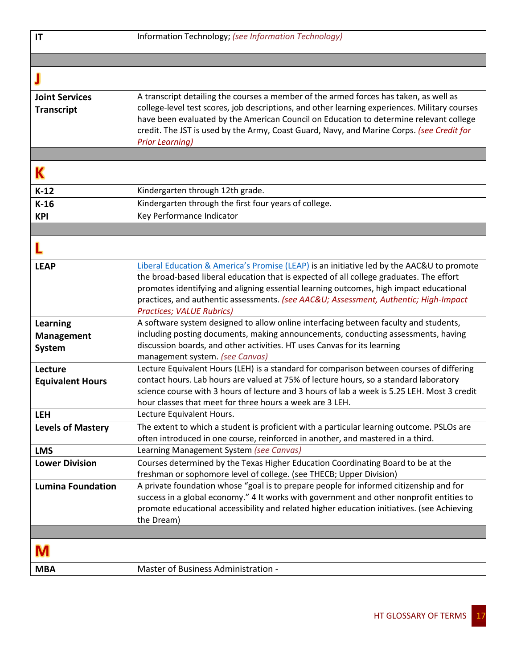| IT                                             | Information Technology; (see Information Technology)                                                                                                                                                                                                                                                                                                                                                      |
|------------------------------------------------|-----------------------------------------------------------------------------------------------------------------------------------------------------------------------------------------------------------------------------------------------------------------------------------------------------------------------------------------------------------------------------------------------------------|
|                                                |                                                                                                                                                                                                                                                                                                                                                                                                           |
|                                                |                                                                                                                                                                                                                                                                                                                                                                                                           |
| <b>Joint Services</b><br><b>Transcript</b>     | A transcript detailing the courses a member of the armed forces has taken, as well as<br>college-level test scores, job descriptions, and other learning experiences. Military courses<br>have been evaluated by the American Council on Education to determine relevant college<br>credit. The JST is used by the Army, Coast Guard, Navy, and Marine Corps. (see Credit for<br><b>Prior Learning)</b>   |
|                                                |                                                                                                                                                                                                                                                                                                                                                                                                           |
| Κ                                              |                                                                                                                                                                                                                                                                                                                                                                                                           |
| $K-12$                                         | Kindergarten through 12th grade.                                                                                                                                                                                                                                                                                                                                                                          |
| $K-16$                                         | Kindergarten through the first four years of college.                                                                                                                                                                                                                                                                                                                                                     |
| <b>KPI</b>                                     | Key Performance Indicator                                                                                                                                                                                                                                                                                                                                                                                 |
|                                                |                                                                                                                                                                                                                                                                                                                                                                                                           |
|                                                |                                                                                                                                                                                                                                                                                                                                                                                                           |
| <b>LEAP</b>                                    | Liberal Education & America's Promise (LEAP) is an initiative led by the AAC&U to promote<br>the broad-based liberal education that is expected of all college graduates. The effort<br>promotes identifying and aligning essential learning outcomes, high impact educational<br>practices, and authentic assessments. (see AAC&U Assessment, Authentic; High-Impact<br><b>Practices; VALUE Rubrics)</b> |
| <b>Learning</b><br><b>Management</b><br>System | A software system designed to allow online interfacing between faculty and students,<br>including posting documents, making announcements, conducting assessments, having<br>discussion boards, and other activities. HT uses Canvas for its learning<br>management system. (see Canvas)                                                                                                                  |
| Lecture<br><b>Equivalent Hours</b>             | Lecture Equivalent Hours (LEH) is a standard for comparison between courses of differing<br>contact hours. Lab hours are valued at 75% of lecture hours, so a standard laboratory<br>science course with 3 hours of lecture and 3 hours of lab a week is 5.25 LEH. Most 3 credit<br>hour classes that meet for three hours a week are 3 LEH.                                                              |
| <b>LEH</b>                                     | Lecture Equivalent Hours.                                                                                                                                                                                                                                                                                                                                                                                 |
| <b>Levels of Mastery</b>                       | The extent to which a student is proficient with a particular learning outcome. PSLOs are<br>often introduced in one course, reinforced in another, and mastered in a third.                                                                                                                                                                                                                              |
| <b>LMS</b>                                     | Learning Management System (see Canvas)                                                                                                                                                                                                                                                                                                                                                                   |
| <b>Lower Division</b>                          | Courses determined by the Texas Higher Education Coordinating Board to be at the<br>freshman or sophomore level of college. (see THECB; Upper Division)                                                                                                                                                                                                                                                   |
| <b>Lumina Foundation</b>                       | A private foundation whose "goal is to prepare people for informed citizenship and for<br>success in a global economy." 4 It works with government and other nonprofit entities to<br>promote educational accessibility and related higher education initiatives. (see Achieving<br>the Dream)                                                                                                            |
| M                                              |                                                                                                                                                                                                                                                                                                                                                                                                           |
| <b>MBA</b>                                     | Master of Business Administration -                                                                                                                                                                                                                                                                                                                                                                       |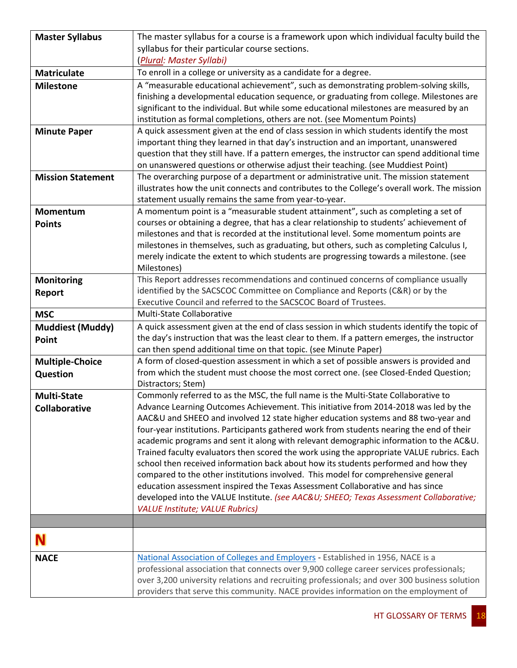| <b>Master Syllabus</b>   | The master syllabus for a course is a framework upon which individual faculty build the                                                                                          |
|--------------------------|----------------------------------------------------------------------------------------------------------------------------------------------------------------------------------|
|                          | syllabus for their particular course sections.                                                                                                                                   |
|                          | (Plural: Master Syllabi)                                                                                                                                                         |
| <b>Matriculate</b>       | To enroll in a college or university as a candidate for a degree.                                                                                                                |
| <b>Milestone</b>         | A "measurable educational achievement", such as demonstrating problem-solving skills,                                                                                            |
|                          | finishing a developmental education sequence, or graduating from college. Milestones are                                                                                         |
|                          | significant to the individual. But while some educational milestones are measured by an                                                                                          |
|                          | institution as formal completions, others are not. (see Momentum Points)                                                                                                         |
| <b>Minute Paper</b>      | A quick assessment given at the end of class session in which students identify the most                                                                                         |
|                          | important thing they learned in that day's instruction and an important, unanswered                                                                                              |
|                          | question that they still have. If a pattern emerges, the instructor can spend additional time                                                                                    |
|                          | on unanswered questions or otherwise adjust their teaching. (see Muddiest Point)                                                                                                 |
| <b>Mission Statement</b> | The overarching purpose of a department or administrative unit. The mission statement                                                                                            |
|                          | illustrates how the unit connects and contributes to the College's overall work. The mission                                                                                     |
|                          | statement usually remains the same from year-to-year.                                                                                                                            |
| Momentum                 | A momentum point is a "measurable student attainment", such as completing a set of                                                                                               |
| <b>Points</b>            | courses or obtaining a degree, that has a clear relationship to students' achievement of                                                                                         |
|                          | milestones and that is recorded at the institutional level. Some momentum points are<br>milestones in themselves, such as graduating, but others, such as completing Calculus I, |
|                          | merely indicate the extent to which students are progressing towards a milestone. (see                                                                                           |
|                          | Milestones)                                                                                                                                                                      |
| <b>Monitoring</b>        | This Report addresses recommendations and continued concerns of compliance usually                                                                                               |
| Report                   | identified by the SACSCOC Committee on Compliance and Reports (C&R) or by the                                                                                                    |
|                          | Executive Council and referred to the SACSCOC Board of Trustees.                                                                                                                 |
| <b>MSC</b>               | Multi-State Collaborative                                                                                                                                                        |
| <b>Muddiest (Muddy)</b>  | A quick assessment given at the end of class session in which students identify the topic of                                                                                     |
| Point                    | the day's instruction that was the least clear to them. If a pattern emerges, the instructor                                                                                     |
|                          | can then spend additional time on that topic. (see Minute Paper)                                                                                                                 |
| <b>Multiple-Choice</b>   | A form of closed-question assessment in which a set of possible answers is provided and                                                                                          |
| Question                 | from which the student must choose the most correct one. (see Closed-Ended Question;                                                                                             |
|                          | Distractors; Stem)                                                                                                                                                               |
| <b>Multi-State</b>       | Commonly referred to as the MSC, the full name is the Multi-State Collaborative to                                                                                               |
| Collaborative            | Advance Learning Outcomes Achievement. This initiative from 2014-2018 was led by the                                                                                             |
|                          | AAC&U and SHEEO and involved 12 state higher education systems and 88 two-year and                                                                                               |
|                          | four-year institutions. Participants gathered work from students nearing the end of their                                                                                        |
|                          | academic programs and sent it along with relevant demographic information to the AC&U.                                                                                           |
|                          | Trained faculty evaluators then scored the work using the appropriate VALUE rubrics. Each                                                                                        |
|                          | school then received information back about how its students performed and how they<br>compared to the other institutions involved. This model for comprehensive general         |
|                          | education assessment inspired the Texas Assessment Collaborative and has since                                                                                                   |
|                          | developed into the VALUE Institute. (see AAC&U SHEEO; Texas Assessment Collaborative;                                                                                            |
|                          | <b>VALUE Institute; VALUE Rubrics)</b>                                                                                                                                           |
|                          |                                                                                                                                                                                  |
|                          |                                                                                                                                                                                  |
| N                        |                                                                                                                                                                                  |
| <b>NACE</b>              | National Association of Colleges and Employers - Established in 1956, NACE is a                                                                                                  |
|                          | professional association that connects over 9,900 college career services professionals;                                                                                         |
|                          | over 3,200 university relations and recruiting professionals; and over 300 business solution                                                                                     |
|                          | providers that serve this community. NACE provides information on the employment of                                                                                              |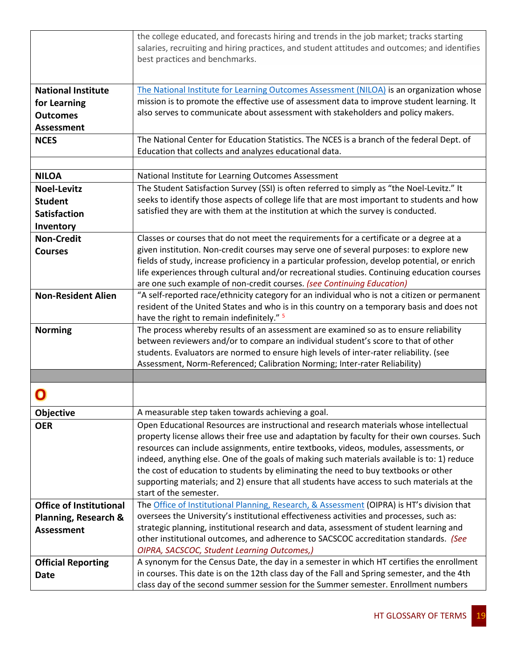|                                 | the college educated, and forecasts hiring and trends in the job market; tracks starting                                                                                                   |
|---------------------------------|--------------------------------------------------------------------------------------------------------------------------------------------------------------------------------------------|
|                                 | salaries, recruiting and hiring practices, and student attitudes and outcomes; and identifies<br>best practices and benchmarks.                                                            |
|                                 |                                                                                                                                                                                            |
| <b>National Institute</b>       | The National Institute for Learning Outcomes Assessment (NILOA) is an organization whose                                                                                                   |
| for Learning                    | mission is to promote the effective use of assessment data to improve student learning. It                                                                                                 |
| <b>Outcomes</b>                 | also serves to communicate about assessment with stakeholders and policy makers.                                                                                                           |
| <b>Assessment</b>               |                                                                                                                                                                                            |
| <b>NCES</b>                     | The National Center for Education Statistics. The NCES is a branch of the federal Dept. of                                                                                                 |
|                                 | Education that collects and analyzes educational data.                                                                                                                                     |
|                                 |                                                                                                                                                                                            |
| <b>NILOA</b>                    | National Institute for Learning Outcomes Assessment                                                                                                                                        |
| <b>Noel-Levitz</b>              | The Student Satisfaction Survey (SSI) is often referred to simply as "the Noel-Levitz." It                                                                                                 |
| <b>Student</b>                  | seeks to identify those aspects of college life that are most important to students and how                                                                                                |
| <b>Satisfaction</b>             | satisfied they are with them at the institution at which the survey is conducted.                                                                                                          |
| Inventory                       |                                                                                                                                                                                            |
| <b>Non-Credit</b>               | Classes or courses that do not meet the requirements for a certificate or a degree at a                                                                                                    |
| <b>Courses</b>                  | given institution. Non-credit courses may serve one of several purposes: to explore new                                                                                                    |
|                                 | fields of study, increase proficiency in a particular profession, develop potential, or enrich                                                                                             |
|                                 | life experiences through cultural and/or recreational studies. Continuing education courses                                                                                                |
|                                 | are one such example of non-credit courses. (see Continuing Education)                                                                                                                     |
| <b>Non-Resident Alien</b>       | "A self-reported race/ethnicity category for an individual who is not a citizen or permanent<br>resident of the United States and who is in this country on a temporary basis and does not |
|                                 | have the right to remain indefinitely." <sup>5</sup>                                                                                                                                       |
| <b>Norming</b>                  | The process whereby results of an assessment are examined so as to ensure reliability                                                                                                      |
|                                 | between reviewers and/or to compare an individual student's score to that of other                                                                                                         |
|                                 | students. Evaluators are normed to ensure high levels of inter-rater reliability. (see                                                                                                     |
|                                 | Assessment, Norm-Referenced; Calibration Norming; Inter-rater Reliability)                                                                                                                 |
|                                 |                                                                                                                                                                                            |
|                                 |                                                                                                                                                                                            |
| <b>Objective</b>                | A measurable step taken towards achieving a goal.                                                                                                                                          |
| <b>OER</b>                      | Open Educational Resources are instructional and research materials whose intellectual                                                                                                     |
|                                 | property license allows their free use and adaptation by faculty for their own courses. Such                                                                                               |
|                                 | resources can include assignments, entire textbooks, videos, modules, assessments, or                                                                                                      |
|                                 | indeed, anything else. One of the goals of making such materials available is to: 1) reduce                                                                                                |
|                                 | the cost of education to students by eliminating the need to buy textbooks or other                                                                                                        |
|                                 | supporting materials; and 2) ensure that all students have access to such materials at the<br>start of the semester.                                                                       |
| <b>Office of Institutional</b>  | The Office of Institutional Planning, Research, & Assessment (OIPRA) is HT's division that                                                                                                 |
| <b>Planning, Research &amp;</b> | oversees the University's institutional effectiveness activities and processes, such as:                                                                                                   |
| <b>Assessment</b>               | strategic planning, institutional research and data, assessment of student learning and                                                                                                    |
|                                 | other institutional outcomes, and adherence to SACSCOC accreditation standards. (See                                                                                                       |
|                                 | OIPRA, SACSCOC, Student Learning Outcomes,)                                                                                                                                                |
| <b>Official Reporting</b>       | A synonym for the Census Date, the day in a semester in which HT certifies the enrollment                                                                                                  |
| <b>Date</b>                     | in courses. This date is on the 12th class day of the Fall and Spring semester, and the 4th                                                                                                |
|                                 | class day of the second summer session for the Summer semester. Enrollment numbers                                                                                                         |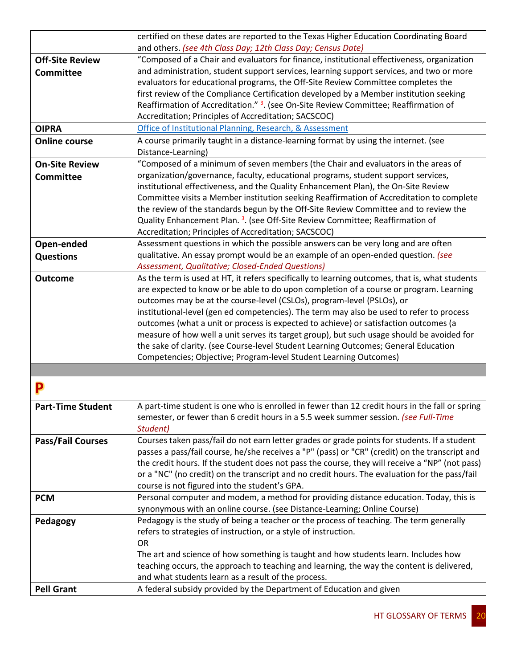|                          | certified on these dates are reported to the Texas Higher Education Coordinating Board                                                                                                           |
|--------------------------|--------------------------------------------------------------------------------------------------------------------------------------------------------------------------------------------------|
|                          | and others. (see 4th Class Day; 12th Class Day; Census Date)                                                                                                                                     |
| <b>Off-Site Review</b>   | "Composed of a Chair and evaluators for finance, institutional effectiveness, organization                                                                                                       |
| <b>Committee</b>         | and administration, student support services, learning support services, and two or more                                                                                                         |
|                          | evaluators for educational programs, the Off-Site Review Committee completes the                                                                                                                 |
|                          | first review of the Compliance Certification developed by a Member institution seeking                                                                                                           |
|                          | Reaffirmation of Accreditation." <sup>3</sup> . (see On-Site Review Committee; Reaffirmation of                                                                                                  |
|                          | Accreditation; Principles of Accreditation; SACSCOC)                                                                                                                                             |
| <b>OIPRA</b>             | Office of Institutional Planning, Research, & Assessment                                                                                                                                         |
| <b>Online course</b>     | A course primarily taught in a distance-learning format by using the internet. (see                                                                                                              |
|                          | Distance-Learning)                                                                                                                                                                               |
| <b>On-Site Review</b>    | "Composed of a minimum of seven members (the Chair and evaluators in the areas of                                                                                                                |
| <b>Committee</b>         | organization/governance, faculty, educational programs, student support services,                                                                                                                |
|                          | institutional effectiveness, and the Quality Enhancement Plan), the On-Site Review                                                                                                               |
|                          | Committee visits a Member institution seeking Reaffirmation of Accreditation to complete                                                                                                         |
|                          | the review of the standards begun by the Off-Site Review Committee and to review the                                                                                                             |
|                          | Quality Enhancement Plan. <sup>3</sup> . (see Off-Site Review Committee; Reaffirmation of                                                                                                        |
|                          | Accreditation; Principles of Accreditation; SACSCOC)<br>Assessment questions in which the possible answers can be very long and are often                                                        |
| Open-ended               | qualitative. An essay prompt would be an example of an open-ended question. (see                                                                                                                 |
| <b>Questions</b>         | Assessment, Qualitative; Closed-Ended Questions)                                                                                                                                                 |
| <b>Outcome</b>           | As the term is used at HT, it refers specifically to learning outcomes, that is, what students                                                                                                   |
|                          | are expected to know or be able to do upon completion of a course or program. Learning                                                                                                           |
|                          | outcomes may be at the course-level (CSLOs), program-level (PSLOs), or                                                                                                                           |
|                          | institutional-level (gen ed competencies). The term may also be used to refer to process                                                                                                         |
|                          | outcomes (what a unit or process is expected to achieve) or satisfaction outcomes (a                                                                                                             |
|                          | measure of how well a unit serves its target group), but such usage should be avoided for                                                                                                        |
|                          | the sake of clarity. (see Course-level Student Learning Outcomes; General Education                                                                                                              |
|                          | Competencies; Objective; Program-level Student Learning Outcomes)                                                                                                                                |
|                          |                                                                                                                                                                                                  |
|                          |                                                                                                                                                                                                  |
|                          |                                                                                                                                                                                                  |
| <b>Part-Time Student</b> | A part-time student is one who is enrolled in fewer than 12 credit hours in the fall or spring                                                                                                   |
|                          | semester, or fewer than 6 credit hours in a 5.5 week summer session. (see Full-Time                                                                                                              |
|                          | Student)                                                                                                                                                                                         |
| <b>Pass/Fail Courses</b> | Courses taken pass/fail do not earn letter grades or grade points for students. If a student                                                                                                     |
|                          | passes a pass/fail course, he/she receives a "P" (pass) or "CR" (credit) on the transcript and<br>the credit hours. If the student does not pass the course, they will receive a "NP" (not pass) |
|                          | or a "NC" (no credit) on the transcript and no credit hours. The evaluation for the pass/fail                                                                                                    |
|                          | course is not figured into the student's GPA.                                                                                                                                                    |
| <b>PCM</b>               | Personal computer and modem, a method for providing distance education. Today, this is                                                                                                           |
|                          | synonymous with an online course. (see Distance-Learning; Online Course)                                                                                                                         |
| Pedagogy                 | Pedagogy is the study of being a teacher or the process of teaching. The term generally                                                                                                          |
|                          | refers to strategies of instruction, or a style of instruction.                                                                                                                                  |
|                          | <b>OR</b>                                                                                                                                                                                        |
|                          | The art and science of how something is taught and how students learn. Includes how                                                                                                              |
|                          | teaching occurs, the approach to teaching and learning, the way the content is delivered,                                                                                                        |
|                          | and what students learn as a result of the process.                                                                                                                                              |
| <b>Pell Grant</b>        | A federal subsidy provided by the Department of Education and given                                                                                                                              |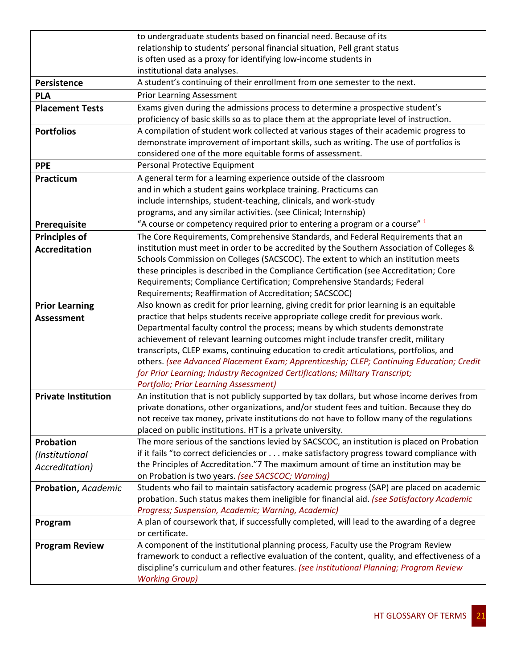|                            | to undergraduate students based on financial need. Because of its                                                                                                                       |
|----------------------------|-----------------------------------------------------------------------------------------------------------------------------------------------------------------------------------------|
|                            | relationship to students' personal financial situation, Pell grant status                                                                                                               |
|                            | is often used as a proxy for identifying low-income students in                                                                                                                         |
|                            | institutional data analyses.                                                                                                                                                            |
| Persistence                | A student's continuing of their enrollment from one semester to the next.                                                                                                               |
| <b>PLA</b>                 | <b>Prior Learning Assessment</b>                                                                                                                                                        |
| <b>Placement Tests</b>     | Exams given during the admissions process to determine a prospective student's                                                                                                          |
|                            | proficiency of basic skills so as to place them at the appropriate level of instruction.                                                                                                |
| <b>Portfolios</b>          | A compilation of student work collected at various stages of their academic progress to                                                                                                 |
|                            | demonstrate improvement of important skills, such as writing. The use of portfolios is                                                                                                  |
|                            | considered one of the more equitable forms of assessment.                                                                                                                               |
| <b>PPE</b>                 | Personal Protective Equipment                                                                                                                                                           |
| Practicum                  | A general term for a learning experience outside of the classroom                                                                                                                       |
|                            | and in which a student gains workplace training. Practicums can                                                                                                                         |
|                            | include internships, student-teaching, clinicals, and work-study                                                                                                                        |
|                            | programs, and any similar activities. (see Clinical; Internship)                                                                                                                        |
| Prerequisite               | "A course or competency required prior to entering a program or a course" 1                                                                                                             |
| <b>Principles of</b>       | The Core Requirements, Comprehensive Standards, and Federal Requirements that an                                                                                                        |
| <b>Accreditation</b>       | institution must meet in order to be accredited by the Southern Association of Colleges &                                                                                               |
|                            | Schools Commission on Colleges (SACSCOC). The extent to which an institution meets                                                                                                      |
|                            | these principles is described in the Compliance Certification (see Accreditation; Core                                                                                                  |
|                            | Requirements; Compliance Certification; Comprehensive Standards; Federal                                                                                                                |
|                            | Requirements; Reaffirmation of Accreditation; SACSCOC)                                                                                                                                  |
| <b>Prior Learning</b>      | Also known as credit for prior learning, giving credit for prior learning is an equitable<br>practice that helps students receive appropriate college credit for previous work.         |
| <b>Assessment</b>          | Departmental faculty control the process; means by which students demonstrate                                                                                                           |
|                            | achievement of relevant learning outcomes might include transfer credit, military                                                                                                       |
|                            | transcripts, CLEP exams, continuing education to credit articulations, portfolios, and                                                                                                  |
|                            | others. (see Advanced Placement Exam; Apprenticeship; CLEP; Continuing Education; Credit                                                                                                |
|                            | for Prior Learning; Industry Recognized Certifications; Military Transcript;                                                                                                            |
|                            | <b>Portfolio; Prior Learning Assessment)</b>                                                                                                                                            |
| <b>Private Institution</b> | An institution that is not publicly supported by tax dollars, but whose income derives from                                                                                             |
|                            | private donations, other organizations, and/or student fees and tuition. Because they do                                                                                                |
|                            | not receive tax money, private institutions do not have to follow many of the regulations                                                                                               |
|                            | placed on public institutions. HT is a private university.                                                                                                                              |
| Probation                  | The more serious of the sanctions levied by SACSCOC, an institution is placed on Probation                                                                                              |
| (Institutional             | if it fails "to correct deficiencies or make satisfactory progress toward compliance with                                                                                               |
| Accreditation)             | the Principles of Accreditation."7 The maximum amount of time an institution may be                                                                                                     |
|                            | on Probation is two years. (see SACSCOC; Warning)                                                                                                                                       |
| Probation, Academic        | Students who fail to maintain satisfactory academic progress (SAP) are placed on academic                                                                                               |
|                            | probation. Such status makes them ineligible for financial aid. (see Satisfactory Academic                                                                                              |
|                            | Progress; Suspension, Academic; Warning, Academic)                                                                                                                                      |
| Program                    | A plan of coursework that, if successfully completed, will lead to the awarding of a degree                                                                                             |
|                            | or certificate.                                                                                                                                                                         |
| <b>Program Review</b>      | A component of the institutional planning process, Faculty use the Program Review                                                                                                       |
|                            | framework to conduct a reflective evaluation of the content, quality, and effectiveness of a<br>discipline's curriculum and other features. (see institutional Planning; Program Review |
|                            | <b>Working Group)</b>                                                                                                                                                                   |
|                            |                                                                                                                                                                                         |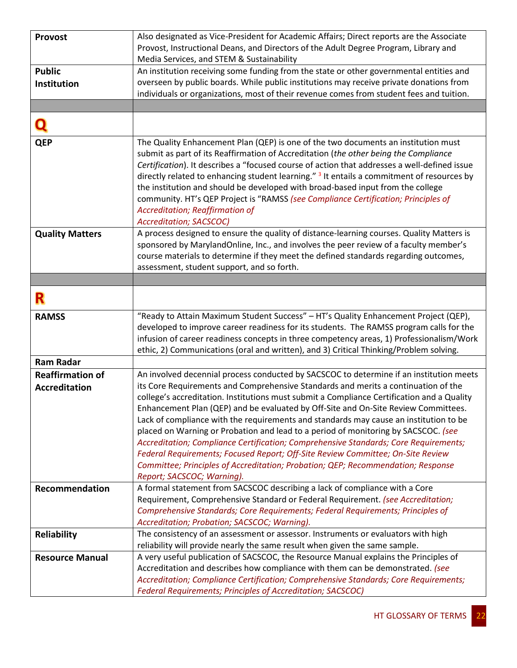| <b>Provost</b>          | Also designated as Vice-President for Academic Affairs; Direct reports are the Associate                                                                               |
|-------------------------|------------------------------------------------------------------------------------------------------------------------------------------------------------------------|
|                         | Provost, Instructional Deans, and Directors of the Adult Degree Program, Library and                                                                                   |
|                         | Media Services, and STEM & Sustainability                                                                                                                              |
| <b>Public</b>           | An institution receiving some funding from the state or other governmental entities and                                                                                |
| Institution             | overseen by public boards. While public institutions may receive private donations from                                                                                |
|                         | individuals or organizations, most of their revenue comes from student fees and tuition.                                                                               |
|                         |                                                                                                                                                                        |
|                         |                                                                                                                                                                        |
| <b>QEP</b>              | The Quality Enhancement Plan (QEP) is one of the two documents an institution must                                                                                     |
|                         | submit as part of its Reaffirmation of Accreditation (the other being the Compliance                                                                                   |
|                         | Certification). It describes a "focused course of action that addresses a well-defined issue                                                                           |
|                         | directly related to enhancing student learning." <sup>3</sup> It entails a commitment of resources by                                                                  |
|                         | the institution and should be developed with broad-based input from the college                                                                                        |
|                         | community. HT's QEP Project is "RAMSS (see Compliance Certification; Principles of                                                                                     |
|                         | Accreditation; Reaffirmation of                                                                                                                                        |
|                         | Accreditation; SACSCOC)<br>A process designed to ensure the quality of distance-learning courses. Quality Matters is                                                   |
| <b>Quality Matters</b>  | sponsored by MarylandOnline, Inc., and involves the peer review of a faculty member's                                                                                  |
|                         | course materials to determine if they meet the defined standards regarding outcomes,                                                                                   |
|                         | assessment, student support, and so forth.                                                                                                                             |
|                         |                                                                                                                                                                        |
|                         |                                                                                                                                                                        |
| R                       |                                                                                                                                                                        |
| <b>RAMSS</b>            | "Ready to Attain Maximum Student Success" - HT's Quality Enhancement Project (QEP),                                                                                    |
|                         | developed to improve career readiness for its students. The RAMSS program calls for the                                                                                |
|                         | infusion of career readiness concepts in three competency areas, 1) Professionalism/Work                                                                               |
| <b>Ram Radar</b>        | ethic, 2) Communications (oral and written), and 3) Critical Thinking/Problem solving.                                                                                 |
| <b>Reaffirmation of</b> | An involved decennial process conducted by SACSCOC to determine if an institution meets                                                                                |
|                         | its Core Requirements and Comprehensive Standards and merits a continuation of the                                                                                     |
| <b>Accreditation</b>    | college's accreditation. Institutions must submit a Compliance Certification and a Quality                                                                             |
|                         | Enhancement Plan (QEP) and be evaluated by Off-Site and On-Site Review Committees.                                                                                     |
|                         | Lack of compliance with the requirements and standards may cause an institution to be                                                                                  |
|                         | placed on Warning or Probation and lead to a period of monitoring by SACSCOC. (see                                                                                     |
|                         | Accreditation; Compliance Certification; Comprehensive Standards; Core Requirements;                                                                                   |
|                         | Federal Requirements; Focused Report; Off-Site Review Committee; On-Site Review                                                                                        |
|                         | Committee; Principles of Accreditation; Probation; QEP; Recommendation; Response                                                                                       |
|                         | Report; SACSCOC; Warning).                                                                                                                                             |
| Recommendation          | A formal statement from SACSCOC describing a lack of compliance with a Core                                                                                            |
|                         | Requirement, Comprehensive Standard or Federal Requirement. (see Accreditation;                                                                                        |
|                         | Comprehensive Standards; Core Requirements; Federal Requirements; Principles of                                                                                        |
|                         | Accreditation; Probation; SACSCOC; Warning).                                                                                                                           |
| <b>Reliability</b>      | The consistency of an assessment or assessor. Instruments or evaluators with high                                                                                      |
|                         | reliability will provide nearly the same result when given the same sample.                                                                                            |
| <b>Resource Manual</b>  | A very useful publication of SACSCOC, the Resource Manual explains the Principles of<br>Accreditation and describes how compliance with them can be demonstrated. (see |
|                         | Accreditation; Compliance Certification; Comprehensive Standards; Core Requirements;                                                                                   |
|                         | Federal Requirements; Principles of Accreditation; SACSCOC)                                                                                                            |
|                         |                                                                                                                                                                        |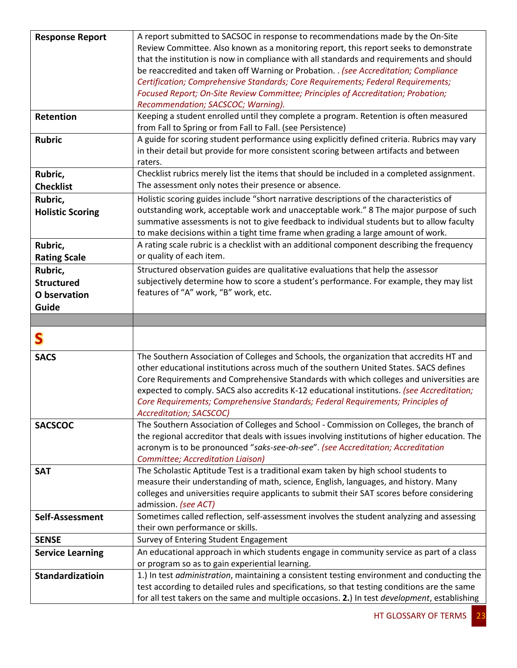| <b>Response Report</b>                                | A report submitted to SACSOC in response to recommendations made by the On-Site<br>Review Committee. Also known as a monitoring report, this report seeks to demonstrate<br>that the institution is now in compliance with all standards and requirements and should                                                                                                                                                                                                                     |
|-------------------------------------------------------|------------------------------------------------------------------------------------------------------------------------------------------------------------------------------------------------------------------------------------------------------------------------------------------------------------------------------------------------------------------------------------------------------------------------------------------------------------------------------------------|
|                                                       | be reaccredited and taken off Warning or Probation. . (see Accreditation; Compliance<br>Certification; Comprehensive Standards; Core Requirements; Federal Requirements;<br>Focused Report; On-Site Review Committee; Principles of Accreditation; Probation;<br>Recommendation; SACSCOC; Warning).                                                                                                                                                                                      |
| Retention                                             | Keeping a student enrolled until they complete a program. Retention is often measured<br>from Fall to Spring or from Fall to Fall. (see Persistence)                                                                                                                                                                                                                                                                                                                                     |
| <b>Rubric</b>                                         | A guide for scoring student performance using explicitly defined criteria. Rubrics may vary<br>in their detail but provide for more consistent scoring between artifacts and between<br>raters.                                                                                                                                                                                                                                                                                          |
| Rubric,<br><b>Checklist</b>                           | Checklist rubrics merely list the items that should be included in a completed assignment.<br>The assessment only notes their presence or absence.                                                                                                                                                                                                                                                                                                                                       |
| Rubric,<br><b>Holistic Scoring</b>                    | Holistic scoring guides include "short narrative descriptions of the characteristics of<br>outstanding work, acceptable work and unacceptable work." 8 The major purpose of such<br>summative assessments is not to give feedback to individual students but to allow faculty<br>to make decisions within a tight time frame when grading a large amount of work.                                                                                                                        |
| Rubric,<br><b>Rating Scale</b>                        | A rating scale rubric is a checklist with an additional component describing the frequency<br>or quality of each item.                                                                                                                                                                                                                                                                                                                                                                   |
| Rubric,<br><b>Structured</b><br>O bservation<br>Guide | Structured observation guides are qualitative evaluations that help the assessor<br>subjectively determine how to score a student's performance. For example, they may list<br>features of "A" work, "B" work, etc.                                                                                                                                                                                                                                                                      |
|                                                       |                                                                                                                                                                                                                                                                                                                                                                                                                                                                                          |
|                                                       |                                                                                                                                                                                                                                                                                                                                                                                                                                                                                          |
|                                                       |                                                                                                                                                                                                                                                                                                                                                                                                                                                                                          |
| S                                                     |                                                                                                                                                                                                                                                                                                                                                                                                                                                                                          |
| <b>SACS</b>                                           | The Southern Association of Colleges and Schools, the organization that accredits HT and<br>other educational institutions across much of the southern United States. SACS defines<br>Core Requirements and Comprehensive Standards with which colleges and universities are<br>expected to comply. SACS also accredits K-12 educational institutions. (see Accreditation;<br>Core Requirements; Comprehensive Standards; Federal Requirements; Principles of<br>Accreditation; SACSCOC) |
| <b>SACSCOC</b>                                        | The Southern Association of Colleges and School - Commission on Colleges, the branch of<br>the regional accreditor that deals with issues involving institutions of higher education. The<br>acronym is to be pronounced "saks-see-oh-see". (see Accreditation; Accreditation<br>Committee; Accreditation Liaison)                                                                                                                                                                       |
| <b>SAT</b>                                            | The Scholastic Aptitude Test is a traditional exam taken by high school students to<br>measure their understanding of math, science, English, languages, and history. Many<br>colleges and universities require applicants to submit their SAT scores before considering<br>admission. (see ACT)                                                                                                                                                                                         |
| Self-Assessment                                       | Sometimes called reflection, self-assessment involves the student analyzing and assessing<br>their own performance or skills.                                                                                                                                                                                                                                                                                                                                                            |
| <b>SENSE</b>                                          | Survey of Entering Student Engagement                                                                                                                                                                                                                                                                                                                                                                                                                                                    |
| <b>Service Learning</b>                               | An educational approach in which students engage in community service as part of a class                                                                                                                                                                                                                                                                                                                                                                                                 |
|                                                       | or program so as to gain experiential learning.                                                                                                                                                                                                                                                                                                                                                                                                                                          |
| Standardizatioin                                      | 1.) In test administration, maintaining a consistent testing environment and conducting the                                                                                                                                                                                                                                                                                                                                                                                              |
|                                                       | test according to detailed rules and specifications, so that testing conditions are the same<br>for all test takers on the same and multiple occasions. 2.) In test <i>development</i> , establishing                                                                                                                                                                                                                                                                                    |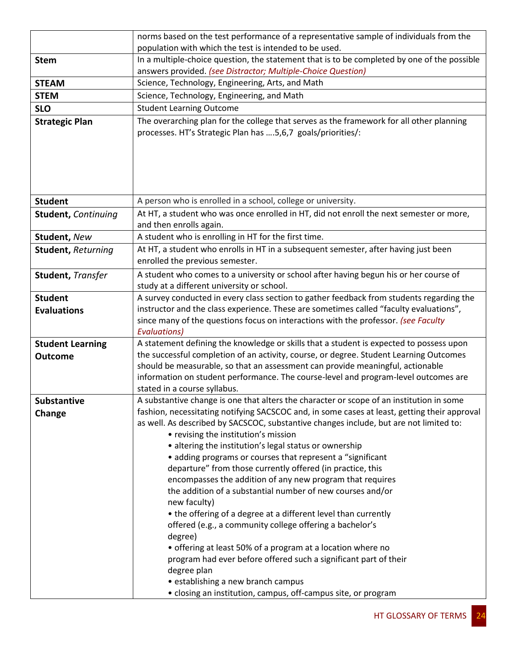|                            | norms based on the test performance of a representative sample of individuals from the                                                                                       |
|----------------------------|------------------------------------------------------------------------------------------------------------------------------------------------------------------------------|
|                            | population with which the test is intended to be used.                                                                                                                       |
| <b>Stem</b>                | In a multiple-choice question, the statement that is to be completed by one of the possible                                                                                  |
|                            | answers provided. (see Distractor; Multiple-Choice Question)                                                                                                                 |
| <b>STEAM</b>               | Science, Technology, Engineering, Arts, and Math                                                                                                                             |
| <b>STEM</b>                | Science, Technology, Engineering, and Math                                                                                                                                   |
| <b>SLO</b>                 | <b>Student Learning Outcome</b>                                                                                                                                              |
| <b>Strategic Plan</b>      | The overarching plan for the college that serves as the framework for all other planning                                                                                     |
|                            | processes. HT's Strategic Plan has  5,6,7 goals/priorities/:                                                                                                                 |
|                            |                                                                                                                                                                              |
|                            |                                                                                                                                                                              |
|                            |                                                                                                                                                                              |
|                            |                                                                                                                                                                              |
| <b>Student</b>             | A person who is enrolled in a school, college or university.                                                                                                                 |
| <b>Student, Continuing</b> | At HT, a student who was once enrolled in HT, did not enroll the next semester or more,                                                                                      |
|                            | and then enrolls again.                                                                                                                                                      |
| <b>Student, New</b>        | A student who is enrolling in HT for the first time.                                                                                                                         |
| <b>Student, Returning</b>  | At HT, a student who enrolls in HT in a subsequent semester, after having just been                                                                                          |
|                            | enrolled the previous semester.                                                                                                                                              |
| Student, Transfer          | A student who comes to a university or school after having begun his or her course of                                                                                        |
|                            | study at a different university or school.                                                                                                                                   |
| <b>Student</b>             | A survey conducted in every class section to gather feedback from students regarding the                                                                                     |
| <b>Evaluations</b>         | instructor and the class experience. These are sometimes called "faculty evaluations",<br>since many of the questions focus on interactions with the professor. (see Faculty |
|                            | <b>Evaluations</b> )                                                                                                                                                         |
| <b>Student Learning</b>    | A statement defining the knowledge or skills that a student is expected to possess upon                                                                                      |
| <b>Outcome</b>             | the successful completion of an activity, course, or degree. Student Learning Outcomes                                                                                       |
|                            | should be measurable, so that an assessment can provide meaningful, actionable                                                                                               |
|                            | information on student performance. The course-level and program-level outcomes are                                                                                          |
|                            | stated in a course syllabus.                                                                                                                                                 |
| <b>Substantive</b>         | A substantive change is one that alters the character or scope of an institution in some                                                                                     |
| Change                     | fashion, necessitating notifying SACSCOC and, in some cases at least, getting their approval                                                                                 |
|                            | as well. As described by SACSCOC, substantive changes include, but are not limited to:<br>• revising the institution's mission                                               |
|                            | • altering the institution's legal status or ownership                                                                                                                       |
|                            | • adding programs or courses that represent a "significant                                                                                                                   |
|                            | departure" from those currently offered (in practice, this                                                                                                                   |
|                            | encompasses the addition of any new program that requires                                                                                                                    |
|                            | the addition of a substantial number of new courses and/or                                                                                                                   |
|                            | new faculty)                                                                                                                                                                 |
|                            | • the offering of a degree at a different level than currently                                                                                                               |
|                            | offered (e.g., a community college offering a bachelor's                                                                                                                     |
|                            | degree)                                                                                                                                                                      |
|                            | • offering at least 50% of a program at a location where no<br>program had ever before offered such a significant part of their                                              |
|                            | degree plan                                                                                                                                                                  |
|                            | • establishing a new branch campus                                                                                                                                           |
|                            | • closing an institution, campus, off-campus site, or program                                                                                                                |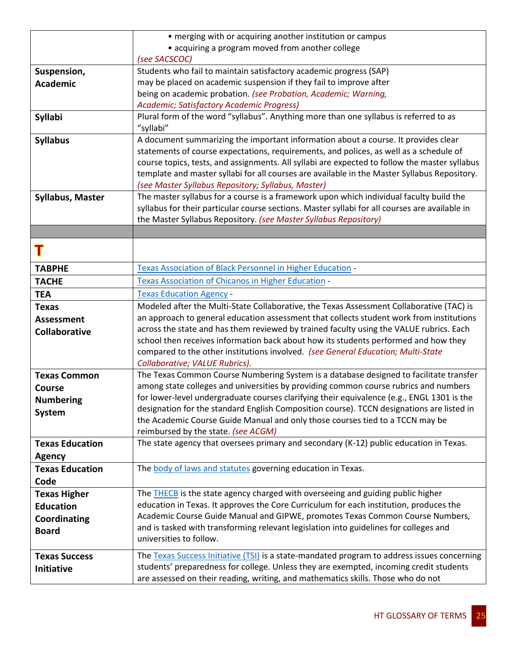|                        | • merging with or acquiring another institution or campus                                      |
|------------------------|------------------------------------------------------------------------------------------------|
|                        | • acquiring a program moved from another college                                               |
|                        | (see SACSCOC)                                                                                  |
| Suspension,            | Students who fail to maintain satisfactory academic progress (SAP)                             |
| <b>Academic</b>        | may be placed on academic suspension if they fail to improve after                             |
|                        | being on academic probation. (see Probation, Academic; Warning,                                |
|                        | Academic; Satisfactory Academic Progress)                                                      |
| <b>Syllabi</b>         | Plural form of the word "syllabus". Anything more than one syllabus is referred to as          |
|                        | "syllabi"                                                                                      |
| <b>Syllabus</b>        | A document summarizing the important information about a course. It provides clear             |
|                        | statements of course expectations, requirements, and polices, as well as a schedule of         |
|                        | course topics, tests, and assignments. All syllabi are expected to follow the master syllabus  |
|                        | template and master syllabi for all courses are available in the Master Syllabus Repository.   |
|                        | (see Master Syllabus Repository; Syllabus, Master)                                             |
| Syllabus, Master       | The master syllabus for a course is a framework upon which individual faculty build the        |
|                        | syllabus for their particular course sections. Master syllabi for all courses are available in |
|                        | the Master Syllabus Repository. (see Master Syllabus Repository)                               |
|                        |                                                                                                |
|                        |                                                                                                |
| <b>TABPHE</b>          | Texas Association of Black Personnel in Higher Education -                                     |
| <b>TACHE</b>           | Texas Association of Chicanos in Higher Education -                                            |
| <b>TEA</b>             | <b>Texas Education Agency -</b>                                                                |
| <b>Texas</b>           | Modeled after the Multi-State Collaborative, the Texas Assessment Collaborative (TAC) is       |
| <b>Assessment</b>      | an approach to general education assessment that collects student work from institutions       |
| <b>Collaborative</b>   | across the state and has them reviewed by trained faculty using the VALUE rubrics. Each        |
|                        | school then receives information back about how its students performed and how they            |
|                        | compared to the other institutions involved. (see General Education; Multi-State               |
|                        | Collaborative; VALUE Rubrics).                                                                 |
| <b>Texas Common</b>    | The Texas Common Course Numbering System is a database designed to facilitate transfer         |
| <b>Course</b>          | among state colleges and universities by providing common course rubrics and numbers           |
| <b>Numbering</b>       | for lower-level undergraduate courses clarifying their equivalence (e.g., ENGL 1301 is the     |
| <b>System</b>          | designation for the standard English Composition course). TCCN designations are listed in      |
|                        | the Academic Course Guide Manual and only those courses tied to a TCCN may be                  |
|                        | reimbursed by the state. (see ACGM)                                                            |
| <b>Texas Education</b> | The state agency that oversees primary and secondary (K-12) public education in Texas.         |
| <b>Agency</b>          |                                                                                                |
| <b>Texas Education</b> | The body of laws and statutes governing education in Texas.                                    |
| Code                   |                                                                                                |
| <b>Texas Higher</b>    | The <b>THECB</b> is the state agency charged with overseeing and guiding public higher         |
| <b>Education</b>       | education in Texas. It approves the Core Curriculum for each institution, produces the         |
| Coordinating           | Academic Course Guide Manual and GIPWE, promotes Texas Common Course Numbers,                  |
| <b>Board</b>           | and is tasked with transforming relevant legislation into guidelines for colleges and          |
|                        | universities to follow.                                                                        |
| <b>Texas Success</b>   | The Texas Success Initiative (TSI) is a state-mandated program to address issues concerning    |
| Initiative             | students' preparedness for college. Unless they are exempted, incoming credit students         |
|                        | are assessed on their reading, writing, and mathematics skills. Those who do not               |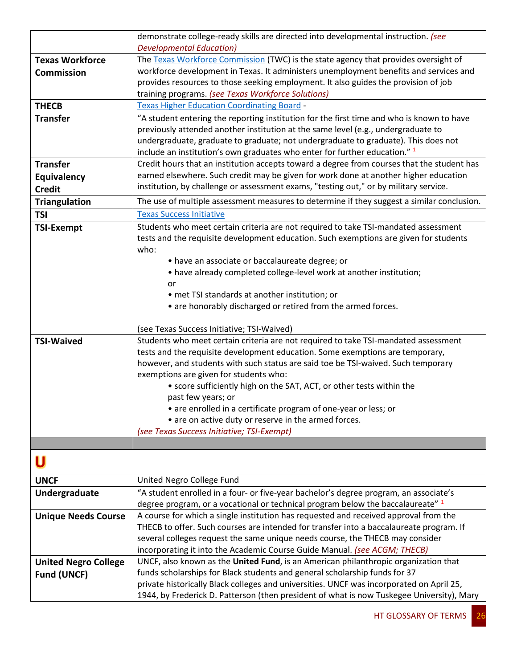|                             | demonstrate college-ready skills are directed into developmental instruction. (see                                                                                           |
|-----------------------------|------------------------------------------------------------------------------------------------------------------------------------------------------------------------------|
|                             | <b>Developmental Education)</b>                                                                                                                                              |
| <b>Texas Workforce</b>      | The Texas Workforce Commission (TWC) is the state agency that provides oversight of                                                                                          |
| <b>Commission</b>           | workforce development in Texas. It administers unemployment benefits and services and<br>provides resources to those seeking employment. It also guides the provision of job |
|                             | training programs. (see Texas Workforce Solutions)                                                                                                                           |
| <b>THECB</b>                | <b>Texas Higher Education Coordinating Board -</b>                                                                                                                           |
| <b>Transfer</b>             | "A student entering the reporting institution for the first time and who is known to have                                                                                    |
|                             | previously attended another institution at the same level (e.g., undergraduate to                                                                                            |
|                             | undergraduate, graduate to graduate; not undergraduate to graduate). This does not                                                                                           |
|                             | include an institution's own graduates who enter for further education." <sup>1</sup>                                                                                        |
| <b>Transfer</b>             | Credit hours that an institution accepts toward a degree from courses that the student has                                                                                   |
| Equivalency                 | earned elsewhere. Such credit may be given for work done at another higher education                                                                                         |
| <b>Credit</b>               | institution, by challenge or assessment exams, "testing out," or by military service.                                                                                        |
| <b>Triangulation</b>        | The use of multiple assessment measures to determine if they suggest a similar conclusion.                                                                                   |
| <b>TSI</b>                  | <b>Texas Success Initiative</b>                                                                                                                                              |
| <b>TSI-Exempt</b>           | Students who meet certain criteria are not required to take TSI-mandated assessment                                                                                          |
|                             | tests and the requisite development education. Such exemptions are given for students                                                                                        |
|                             | who:                                                                                                                                                                         |
|                             | • have an associate or baccalaureate degree; or                                                                                                                              |
|                             | • have already completed college-level work at another institution;                                                                                                          |
|                             | or                                                                                                                                                                           |
|                             | • met TSI standards at another institution; or                                                                                                                               |
|                             | • are honorably discharged or retired from the armed forces.                                                                                                                 |
|                             | (see Texas Success Initiative; TSI-Waived)                                                                                                                                   |
| <b>TSI-Waived</b>           | Students who meet certain criteria are not required to take TSI-mandated assessment                                                                                          |
|                             | tests and the requisite development education. Some exemptions are temporary,                                                                                                |
|                             | however, and students with such status are said toe be TSI-waived. Such temporary                                                                                            |
|                             | exemptions are given for students who:                                                                                                                                       |
|                             | • score sufficiently high on the SAT, ACT, or other tests within the                                                                                                         |
|                             | past few years; or                                                                                                                                                           |
|                             | • are enrolled in a certificate program of one-year or less; or                                                                                                              |
|                             | • are on active duty or reserve in the armed forces.                                                                                                                         |
|                             | (see Texas Success Initiative; TSI-Exempt)                                                                                                                                   |
|                             |                                                                                                                                                                              |
|                             |                                                                                                                                                                              |
| <b>UNCF</b>                 | United Negro College Fund                                                                                                                                                    |
| Undergraduate               | "A student enrolled in a four- or five-year bachelor's degree program, an associate's                                                                                        |
|                             | degree program, or a vocational or technical program below the baccalaureate" 1                                                                                              |
| <b>Unique Needs Course</b>  | A course for which a single institution has requested and received approval from the                                                                                         |
|                             | THECB to offer. Such courses are intended for transfer into a baccalaureate program. If                                                                                      |
|                             | several colleges request the same unique needs course, the THECB may consider                                                                                                |
|                             | incorporating it into the Academic Course Guide Manual. (see ACGM; THECB)                                                                                                    |
| <b>United Negro College</b> | UNCF, also known as the United Fund, is an American philanthropic organization that                                                                                          |
| <b>Fund (UNCF)</b>          | funds scholarships for Black students and general scholarship funds for 37                                                                                                   |
|                             | private historically Black colleges and universities. UNCF was incorporated on April 25,                                                                                     |
|                             | 1944, by Frederick D. Patterson (then president of what is now Tuskegee University), Mary                                                                                    |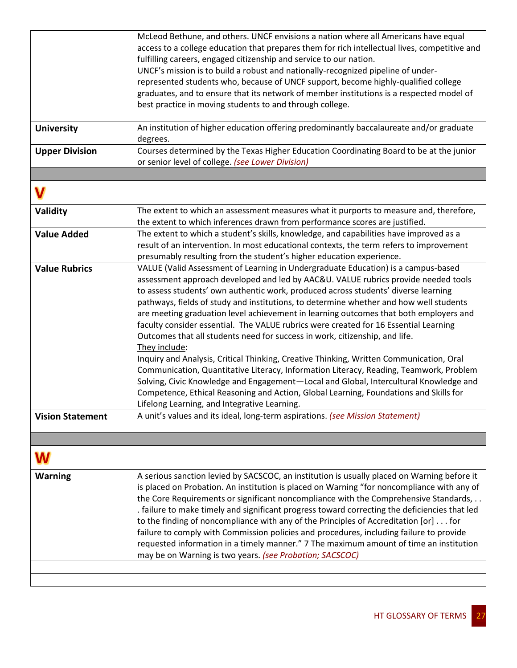|                         | McLeod Bethune, and others. UNCF envisions a nation where all Americans have equal            |
|-------------------------|-----------------------------------------------------------------------------------------------|
|                         | access to a college education that prepares them for rich intellectual lives, competitive and |
|                         | fulfilling careers, engaged citizenship and service to our nation.                            |
|                         | UNCF's mission is to build a robust and nationally-recognized pipeline of under-              |
|                         | represented students who, because of UNCF support, become highly-qualified college            |
|                         | graduates, and to ensure that its network of member institutions is a respected model of      |
|                         | best practice in moving students to and through college.                                      |
|                         |                                                                                               |
| <b>University</b>       | An institution of higher education offering predominantly baccalaureate and/or graduate       |
|                         | degrees.                                                                                      |
| <b>Upper Division</b>   | Courses determined by the Texas Higher Education Coordinating Board to be at the junior       |
|                         | or senior level of college. (see Lower Division)                                              |
|                         |                                                                                               |
|                         |                                                                                               |
|                         |                                                                                               |
| Validity                | The extent to which an assessment measures what it purports to measure and, therefore,        |
|                         | the extent to which inferences drawn from performance scores are justified.                   |
| <b>Value Added</b>      | The extent to which a student's skills, knowledge, and capabilities have improved as a        |
|                         | result of an intervention. In most educational contexts, the term refers to improvement       |
|                         | presumably resulting from the student's higher education experience.                          |
| <b>Value Rubrics</b>    | VALUE (Valid Assessment of Learning in Undergraduate Education) is a campus-based             |
|                         | assessment approach developed and led by AAC&U. VALUE rubrics provide needed tools            |
|                         | to assess students' own authentic work, produced across students' diverse learning            |
|                         | pathways, fields of study and institutions, to determine whether and how well students        |
|                         | are meeting graduation level achievement in learning outcomes that both employers and         |
|                         | faculty consider essential. The VALUE rubrics were created for 16 Essential Learning          |
|                         | Outcomes that all students need for success in work, citizenship, and life.                   |
|                         | They include:                                                                                 |
|                         | Inquiry and Analysis, Critical Thinking, Creative Thinking, Written Communication, Oral       |
|                         | Communication, Quantitative Literacy, Information Literacy, Reading, Teamwork, Problem        |
|                         | Solving, Civic Knowledge and Engagement-Local and Global, Intercultural Knowledge and         |
|                         | Competence, Ethical Reasoning and Action, Global Learning, Foundations and Skills for         |
|                         | Lifelong Learning, and Integrative Learning.                                                  |
| <b>Vision Statement</b> | A unit's values and its ideal, long-term aspirations. (see Mission Statement)                 |
|                         |                                                                                               |
|                         |                                                                                               |
| W                       |                                                                                               |
|                         |                                                                                               |
| <b>Warning</b>          | A serious sanction levied by SACSCOC, an institution is usually placed on Warning before it   |
|                         | is placed on Probation. An institution is placed on Warning "for noncompliance with any of    |
|                         | the Core Requirements or significant noncompliance with the Comprehensive Standards,          |
|                         | . failure to make timely and significant progress toward correcting the deficiencies that led |
|                         | to the finding of noncompliance with any of the Principles of Accreditation [or] for          |
|                         | failure to comply with Commission policies and procedures, including failure to provide       |
|                         | requested information in a timely manner." 7 The maximum amount of time an institution        |
|                         | may be on Warning is two years. (see Probation; SACSCOC)                                      |
|                         |                                                                                               |
|                         |                                                                                               |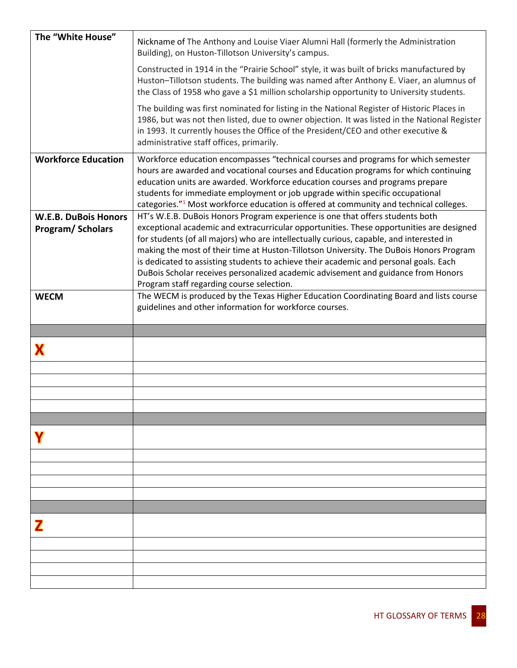| The "White House"           | Nickname of The Anthony and Louise Viaer Alumni Hall (formerly the Administration<br>Building), on Huston-Tillotson University's campus.                                                                                                                                                                                                                                                                                                           |
|-----------------------------|----------------------------------------------------------------------------------------------------------------------------------------------------------------------------------------------------------------------------------------------------------------------------------------------------------------------------------------------------------------------------------------------------------------------------------------------------|
|                             | Constructed in 1914 in the "Prairie School" style, it was built of bricks manufactured by<br>Huston-Tillotson students. The building was named after Anthony E. Viaer, an alumnus of<br>the Class of 1958 who gave a \$1 million scholarship opportunity to University students.                                                                                                                                                                   |
|                             | The building was first nominated for listing in the National Register of Historic Places in<br>1986, but was not then listed, due to owner objection. It was listed in the National Register<br>in 1993. It currently houses the Office of the President/CEO and other executive &<br>administrative staff offices, primarily.                                                                                                                     |
| <b>Workforce Education</b>  | Workforce education encompasses "technical courses and programs for which semester<br>hours are awarded and vocational courses and Education programs for which continuing<br>education units are awarded. Workforce education courses and programs prepare<br>students for immediate employment or job upgrade within specific occupational<br>categories." <sup>1</sup> Most workforce education is offered at community and technical colleges. |
| <b>W.E.B. DuBois Honors</b> | HT's W.E.B. DuBois Honors Program experience is one that offers students both                                                                                                                                                                                                                                                                                                                                                                      |
| Program/Scholars            | exceptional academic and extracurricular opportunities. These opportunities are designed<br>for students (of all majors) who are intellectually curious, capable, and interested in                                                                                                                                                                                                                                                                |
|                             | making the most of their time at Huston-Tillotson University. The DuBois Honors Program                                                                                                                                                                                                                                                                                                                                                            |
|                             | is dedicated to assisting students to achieve their academic and personal goals. Each<br>DuBois Scholar receives personalized academic advisement and guidance from Honors                                                                                                                                                                                                                                                                         |
|                             | Program staff regarding course selection.                                                                                                                                                                                                                                                                                                                                                                                                          |
| <b>WECM</b>                 | The WECM is produced by the Texas Higher Education Coordinating Board and lists course<br>guidelines and other information for workforce courses.                                                                                                                                                                                                                                                                                                  |
|                             |                                                                                                                                                                                                                                                                                                                                                                                                                                                    |
|                             |                                                                                                                                                                                                                                                                                                                                                                                                                                                    |
|                             |                                                                                                                                                                                                                                                                                                                                                                                                                                                    |
|                             |                                                                                                                                                                                                                                                                                                                                                                                                                                                    |
|                             |                                                                                                                                                                                                                                                                                                                                                                                                                                                    |
|                             |                                                                                                                                                                                                                                                                                                                                                                                                                                                    |
|                             |                                                                                                                                                                                                                                                                                                                                                                                                                                                    |
|                             |                                                                                                                                                                                                                                                                                                                                                                                                                                                    |
|                             |                                                                                                                                                                                                                                                                                                                                                                                                                                                    |
|                             |                                                                                                                                                                                                                                                                                                                                                                                                                                                    |
|                             |                                                                                                                                                                                                                                                                                                                                                                                                                                                    |
|                             |                                                                                                                                                                                                                                                                                                                                                                                                                                                    |
|                             |                                                                                                                                                                                                                                                                                                                                                                                                                                                    |
|                             |                                                                                                                                                                                                                                                                                                                                                                                                                                                    |
|                             |                                                                                                                                                                                                                                                                                                                                                                                                                                                    |
|                             |                                                                                                                                                                                                                                                                                                                                                                                                                                                    |